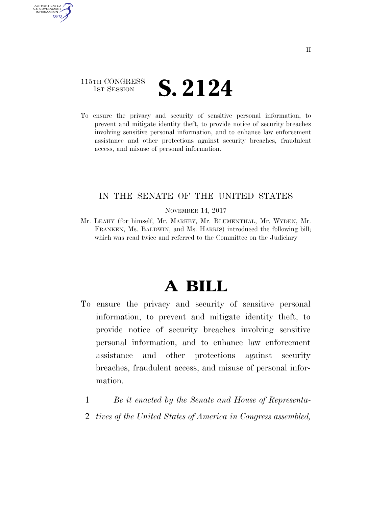### 115TH CONGRESS **IST SESSION S. 2124**

AUTHENTICATED U.S. GOVERNMENT GPO

> To ensure the privacy and security of sensitive personal information, to prevent and mitigate identity theft, to provide notice of security breaches involving sensitive personal information, and to enhance law enforcement assistance and other protections against security breaches, fraudulent access, and misuse of personal information.

### IN THE SENATE OF THE UNITED STATES

NOVEMBER 14, 2017

Mr. LEAHY (for himself, Mr. MARKEY, Mr. BLUMENTHAL, Mr. WYDEN, Mr. FRANKEN, Ms. BALDWIN, and Ms. HARRIS) introduced the following bill; which was read twice and referred to the Committee on the Judiciary

# **A BILL**

- To ensure the privacy and security of sensitive personal information, to prevent and mitigate identity theft, to provide notice of security breaches involving sensitive personal information, and to enhance law enforcement assistance and other protections against security breaches, fraudulent access, and misuse of personal information.
	- 1 *Be it enacted by the Senate and House of Representa-*
	- 2 *tives of the United States of America in Congress assembled,*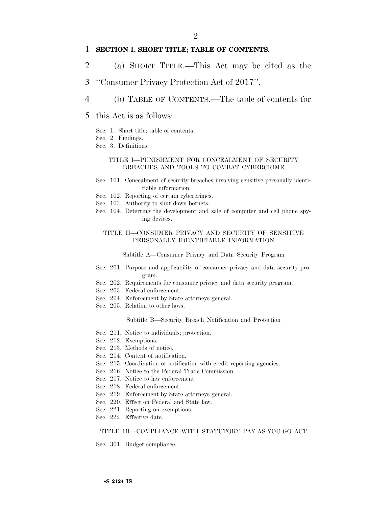### 1 **SECTION 1. SHORT TITLE; TABLE OF CONTENTS.**

- 2 (a) SHORT TITLE.—This Act may be cited as the
- 3 ''Consumer Privacy Protection Act of 2017''.
- 4 (b) TABLE OF CONTENTS.—The table of contents for
- 5 this Act is as follows:
	- Sec. 1. Short title; table of contents.
	- Sec. 2. Findings.
	- Sec. 3. Definitions.

#### TITLE I—PUNISHMENT FOR CONCEALMENT OF SECURITY BREACHES AND TOOLS TO COMBAT CYBERCRIME

- Sec. 101. Concealment of security breaches involving sensitive personally identifiable information.
- Sec. 102. Reporting of certain cybercrimes.
- Sec. 103. Authority to shut down botnets.
- Sec. 104. Deterring the development and sale of computer and cell phone spying devices.

#### TITLE II—CONSUMER PRIVACY AND SECURITY OF SENSITIVE PERSONALLY IDENTIFIABLE INFORMATION

Subtitle A—Consumer Privacy and Data Security Program

- Sec. 201. Purpose and applicability of consumer privacy and data security program.
- Sec. 202. Requirements for consumer privacy and data security program.
- Sec. 203. Federal enforcement.
- Sec. 204. Enforcement by State attorneys general.
- Sec. 205. Relation to other laws.

Subtitle B—Security Breach Notification and Protection

- Sec. 211. Notice to individuals; protection.
- Sec. 212. Exemptions.
- Sec. 213. Methods of notice.
- Sec. 214. Content of notification.
- Sec. 215. Coordination of notification with credit reporting agencies.
- Sec. 216. Notice to the Federal Trade Commission.
- Sec. 217. Notice to law enforcement.
- Sec. 218. Federal enforcement.
- Sec. 219. Enforcement by State attorneys general.
- Sec. 220. Effect on Federal and State law.
- Sec. 221. Reporting on exemptions.
- Sec. 222. Effective date.

#### TITLE III—COMPLIANCE WITH STATUTORY PAY-AS-YOU-GO ACT

Sec. 301. Budget compliance.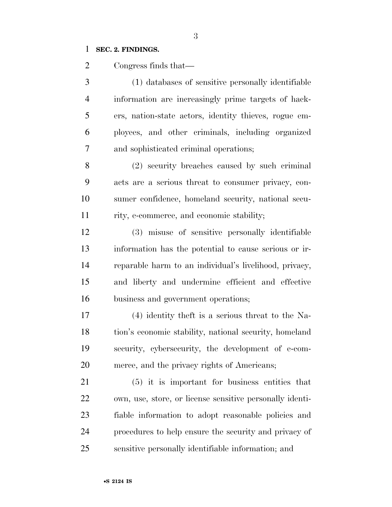### **SEC. 2. FINDINGS.**

Congress finds that—

 (1) databases of sensitive personally identifiable information are increasingly prime targets of hack- ers, nation-state actors, identity thieves, rogue em- ployees, and other criminals, including organized and sophisticated criminal operations;

 (2) security breaches caused by such criminal acts are a serious threat to consumer privacy, con- sumer confidence, homeland security, national secu-rity, e-commerce, and economic stability;

 (3) misuse of sensitive personally identifiable information has the potential to cause serious or ir- reparable harm to an individual's livelihood, privacy, and liberty and undermine efficient and effective business and government operations;

 (4) identity theft is a serious threat to the Na- tion's economic stability, national security, homeland security, cybersecurity, the development of e-com-merce, and the privacy rights of Americans;

 (5) it is important for business entities that own, use, store, or license sensitive personally identi- fiable information to adopt reasonable policies and procedures to help ensure the security and privacy of sensitive personally identifiable information; and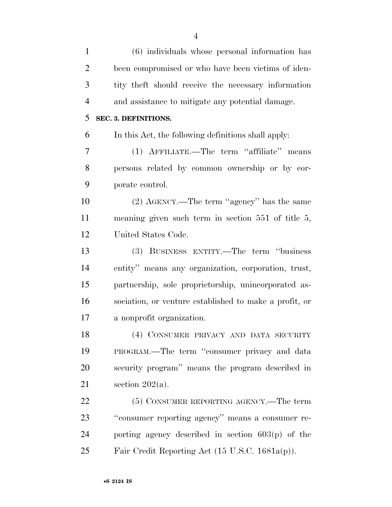| $\mathbf{1}$   | (6) individuals whose personal information has          |
|----------------|---------------------------------------------------------|
| $\overline{2}$ | been compromised or who have been victims of iden-      |
| 3              | tity theft should receive the necessary information     |
| $\overline{4}$ | and assistance to mitigate any potential damage.        |
| 5              | SEC. 3. DEFINITIONS.                                    |
| 6              | In this Act, the following definitions shall apply:     |
| 7              | (1) AFFILIATE.—The term "affiliate" means               |
| 8              | persons related by common ownership or by cor-          |
| 9              | porate control.                                         |
| 10             | (2) AGENCY.—The term "agency" has the same              |
| 11             | meaning given such term in section $551$ of title $5$ , |
| 12             | United States Code.                                     |
| 13             | (3) BUSINESS ENTITY.—The term "business"                |
| 14             | entity" means any organization, corporation, trust,     |
| 15             | partnership, sole proprietorship, unincorporated as-    |
| 16             | sociation, or venture established to make a profit, or  |
| 17             | a nonprofit organization.                               |
| 18             | (4) CONSUMER PRIVACY AND DATA SECURITY                  |
| 19             | PROGRAM.—The term "consumer privacy and data            |
| 20             | security program" means the program described in        |
| 21             | section $202(a)$ .                                      |
| 22             | (5) CONSUMER REPORTING AGENCY.—The term                 |
| 23             | "consumer reporting agency" means a consumer re-        |
| 24             | porting agency described in section $603(p)$ of the     |
| 25             | Fair Credit Reporting Act (15 U.S.C. 1681a(p)).         |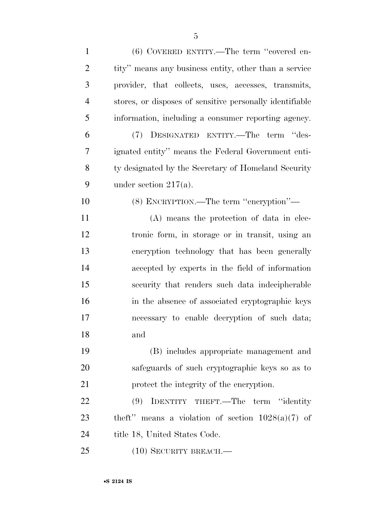| $\mathbf{1}$   | $(6)$ COVERED ENTITY.—The term "covered en-              |
|----------------|----------------------------------------------------------|
| $\overline{2}$ | tity" means any business entity, other than a service    |
| 3              | provider, that collects, uses, accesses, transmits,      |
| 4              | stores, or disposes of sensitive personally identifiable |
| 5              | information, including a consumer reporting agency.      |
| 6              | (7) DESIGNATED ENTITY.—The term "des-                    |
| 7              | ignated entity" means the Federal Government enti-       |
| 8              | ty designated by the Secretary of Homeland Security      |
| 9              | under section $217(a)$ .                                 |
| 10             | (8) ENCRYPTION.—The term "encryption"—                   |
| 11             | (A) means the protection of data in elec-                |
| 12             | tronic form, in storage or in transit, using an          |
| 13             | encryption technology that has been generally            |
| 14             | accepted by experts in the field of information          |
| 15             | security that renders such data indecipherable           |
| 16             | in the absence of associated cryptographic keys          |
| 17             | necessary to enable decryption of such data;             |
| 18             | and                                                      |
| 19             | (B) includes appropriate management and                  |
| 20             | safeguards of such cryptographic keys so as to           |
| 21             | protect the integrity of the eneryption.                 |
| 22             | IDENTITY THEFT.—The term "identity<br>(9)                |
| 23             | theft" means a violation of section $1028(a)(7)$ of      |
| 24             | title 18, United States Code.                            |
| 25             | $(10)$ SECURITY BREACH.—                                 |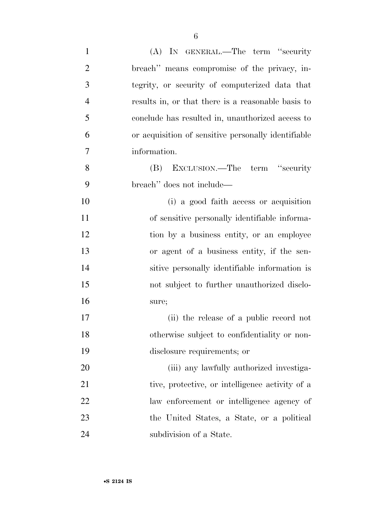| $\mathbf{1}$   | (A) IN GENERAL.—The term "security                  |
|----------------|-----------------------------------------------------|
| $\overline{2}$ | breach" means compromise of the privacy, in-        |
| 3              | tegrity, or security of computerized data that      |
| $\overline{4}$ | results in, or that there is a reasonable basis to  |
| 5              | conclude has resulted in, unauthorized access to    |
| 6              | or acquisition of sensitive personally identifiable |
| 7              | information.                                        |
| 8              | EXCLUSION.—The term "security"<br>(B)               |
| 9              | breach" does not include—                           |
| 10             | (i) a good faith access or acquisition              |
| 11             | of sensitive personally identifiable informa-       |
| 12             | tion by a business entity, or an employee           |
| 13             | or agent of a business entity, if the sen-          |
| 14             | sitive personally identifiable information is       |
| 15             | not subject to further unauthorized disclo-         |
| 16             | sure;                                               |
| 17             | (ii) the release of a public record not             |
| 18             | otherwise subject to confidentiality or non-        |
| 19             | disclosure requirements; or                         |
| 20             | (iii) any lawfully authorized investiga-            |
| 21             | tive, protective, or intelligence activity of a     |
| 22             | law enforcement or intelligence agency of           |
| 23             | the United States, a State, or a political          |
| 24             | subdivision of a State.                             |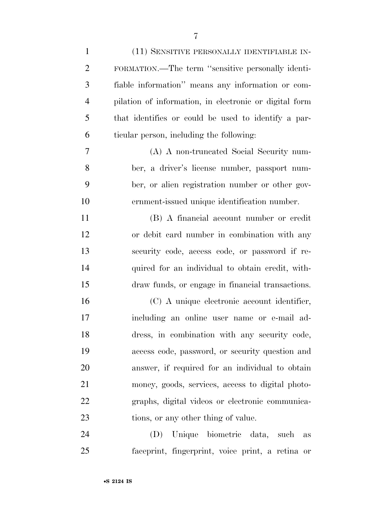| $\mathbf{1}$   | (11) SENSITIVE PERSONALLY IDENTIFIABLE IN-             |
|----------------|--------------------------------------------------------|
| $\overline{2}$ | FORMATION.—The term "sensitive personally identi-      |
| 3              | fiable information" means any information or com-      |
| $\overline{4}$ | pilation of information, in electronic or digital form |
| 5              | that identifies or could be used to identify a par-    |
| 6              | ticular person, including the following:               |
| 7              | (A) A non-truncated Social Security num-               |
| 8              | ber, a driver's license number, passport num-          |
| 9              | ber, or alien registration number or other gov-        |
| 10             | ernment-issued unique identification number.           |
| 11             | (B) A financial account number or credit               |
| 12             | or debit card number in combination with any           |
| 13             | security code, access code, or password if re-         |
| 14             | quired for an individual to obtain credit, with-       |
| 15             | draw funds, or engage in financial transactions.       |
| 16             | (C) A unique electronic account identifier,            |
| 17             | including an online user name or e-mail ad-            |
| 18             | dress, in combination with any security code,          |
| 19             | access code, password, or security question and        |
| 20             | answer, if required for an individual to obtain        |
| 21             | money, goods, services, access to digital photo-       |
| 22             | graphs, digital videos or electronic communica-        |
| 23             | tions, or any other thing of value.                    |
| 24             | Unique biometric data, such<br>(D)<br>as               |
| 25             | faceprint, fingerprint, voice print, a retina or       |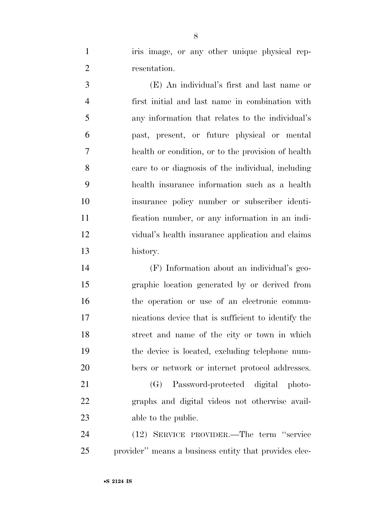1 iris image, or any other unique physical rep-resentation.

 (E) An individual's first and last name or first initial and last name in combination with any information that relates to the individual's past, present, or future physical or mental health or condition, or to the provision of health care to or diagnosis of the individual, including health insurance information such as a health insurance policy number or subscriber identi- fication number, or any information in an indi- vidual's health insurance application and claims history.

 (F) Information about an individual's geo- graphic location generated by or derived from the operation or use of an electronic commu- nications device that is sufficient to identify the street and name of the city or town in which the device is located, excluding telephone num-bers or network or internet protocol addresses.

 (G) Password-protected digital photo- graphs and digital videos not otherwise avail-able to the public.

 (12) SERVICE PROVIDER.—The term ''service provider'' means a business entity that provides elec-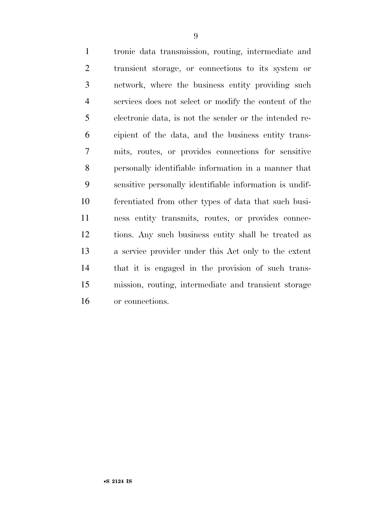tronic data transmission, routing, intermediate and transient storage, or connections to its system or network, where the business entity providing such services does not select or modify the content of the electronic data, is not the sender or the intended re- cipient of the data, and the business entity trans- mits, routes, or provides connections for sensitive personally identifiable information in a manner that sensitive personally identifiable information is undif- ferentiated from other types of data that such busi- ness entity transmits, routes, or provides connec- tions. Any such business entity shall be treated as a service provider under this Act only to the extent that it is engaged in the provision of such trans- mission, routing, intermediate and transient storage or connections.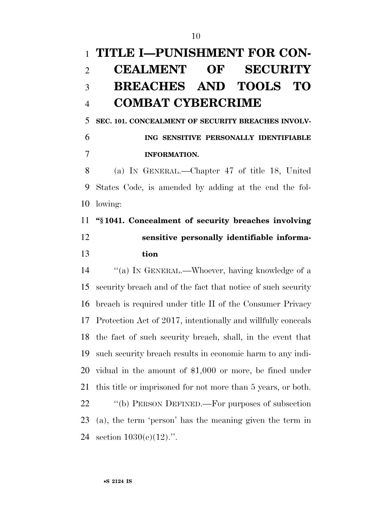# **TITLE I—PUNISHMENT FOR CON- CEALMENT OF SECURITY BREACHES AND TOOLS TO COMBAT CYBERCRIME**

 **SEC. 101. CONCEALMENT OF SECURITY BREACHES INVOLV- ING SENSITIVE PERSONALLY IDENTIFIABLE INFORMATION.** 

 (a) IN GENERAL.—Chapter 47 of title 18, United States Code, is amended by adding at the end the fol-lowing:

## **''§ 1041. Concealment of security breaches involving sensitive personally identifiable informa-tion**

 ''(a) IN GENERAL.—Whoever, having knowledge of a security breach and of the fact that notice of such security breach is required under title II of the Consumer Privacy Protection Act of 2017, intentionally and willfully conceals the fact of such security breach, shall, in the event that such security breach results in economic harm to any indi- vidual in the amount of \$1,000 or more, be fined under this title or imprisoned for not more than 5 years, or both. 22 "(b) PERSON DEFINED.—For purposes of subsection (a), the term 'person' has the meaning given the term in section 1030(e)(12).''.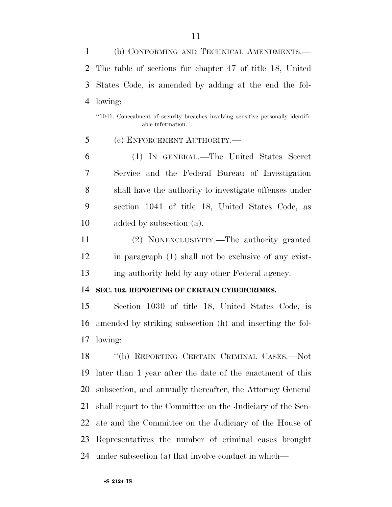(b) CONFORMING AND TECHNICAL AMENDMENTS.— The table of sections for chapter 47 of title 18, United States Code, is amended by adding at the end the fol-lowing:

''1041. Concealment of security breaches involving sensitive personally identifiable information.''.

(c) ENFORCEMENT AUTHORITY.—

 (1) IN GENERAL.—The United States Secret Service and the Federal Bureau of Investigation shall have the authority to investigate offenses under section 1041 of title 18, United States Code, as added by subsection (a).

 (2) NONEXCLUSIVITY.—The authority granted in paragraph (1) shall not be exclusive of any exist-ing authority held by any other Federal agency.

**SEC. 102. REPORTING OF CERTAIN CYBERCRIMES.** 

 Section 1030 of title 18, United States Code, is amended by striking subsection (h) and inserting the fol-lowing:

 ''(h) REPORTING CERTAIN CRIMINAL CASES.—Not later than 1 year after the date of the enactment of this subsection, and annually thereafter, the Attorney General shall report to the Committee on the Judiciary of the Sen- ate and the Committee on the Judiciary of the House of Representatives the number of criminal cases brought under subsection (a) that involve conduct in which—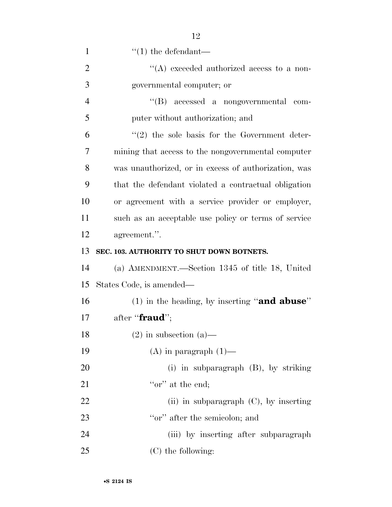| $\mathbf{1}$   | $\lq(1)$ the defendant—                              |
|----------------|------------------------------------------------------|
| $\overline{2}$ | "(A) exceeded authorized access to a non-            |
| 3              | governmental computer; or                            |
| $\overline{4}$ | "(B) accessed a nongovernmental com-                 |
| 5              | puter without authorization; and                     |
| 6              | $\lq(2)$ the sole basis for the Government deter-    |
| 7              | mining that access to the nongovernmental computer   |
| 8              | was unauthorized, or in excess of authorization, was |
| 9              | that the defendant violated a contractual obligation |
| 10             | or agreement with a service provider or employer,    |
| 11             | such as an acceptable use policy or terms of service |
| 12             | agreement.".                                         |
| 13             | SEC. 103. AUTHORITY TO SHUT DOWN BOTNETS.            |
| 14             | (a) AMENDMENT.—Section 1345 of title 18, United      |
| 15             | States Code, is amended—                             |
| 16             | (1) in the heading, by inserting "and abuse"         |
| 17             | after " <b>fraud</b> ";                              |
| 18             | $(2)$ in subsection $(a)$ —                          |
| 19             | $(A)$ in paragraph $(1)$ —                           |
| 20             | (i) in subparagraph $(B)$ , by striking              |
| 21             | "or" at the end;                                     |
| 22             | (ii) in subparagraph $(C)$ , by inserting            |
| 23             | "or" after the semicolon; and                        |
| 24             | (iii) by inserting after subparagraph                |
| 25             | $(C)$ the following:                                 |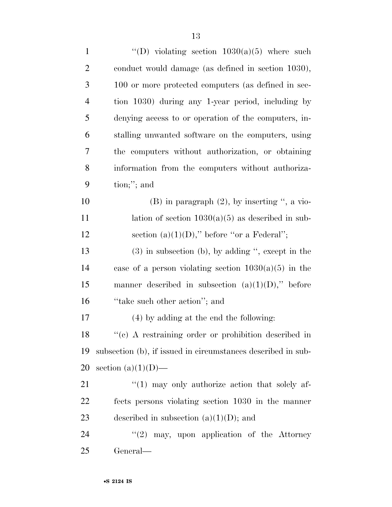| $\mathbf{1}$   | "(D) violating section $1030(a)(5)$ where such               |
|----------------|--------------------------------------------------------------|
| $\mathbf{2}$   | conduct would damage (as defined in section 1030),           |
| 3              | 100 or more protected computers (as defined in sec-          |
| $\overline{4}$ | tion 1030) during any 1-year period, including by            |
| 5              | denying access to or operation of the computers, in-         |
| 6              | stalling unwanted software on the computers, using           |
| 7              | the computers without authorization, or obtaining            |
| $8\,$          | information from the computers without authoriza-            |
| 9              | $\text{tion};$ "; and                                        |
| 10             | $(B)$ in paragraph $(2)$ , by inserting ", a vio-            |
| 11             | lation of section $1030(a)(5)$ as described in sub-          |
| 12             | section $(a)(1)(D)$ ," before "or a Federal";                |
| 13             | $(3)$ in subsection (b), by adding ", except in the          |
| 14             | case of a person violating section $1030(a)(5)$ in the       |
| 15             | manner described in subsection $(a)(1)(D)$ ," before         |
| 16             | "take such other action"; and                                |
| 17             | (4) by adding at the end the following:                      |
| 18             | $\lq\lq$ (c) A restraining order or prohibition described in |
| 19             | subsection (b), if issued in circumstances described in sub- |
| 20             | section $(a)(1)(D)$ —                                        |
| 21             | $\lq(1)$ may only authorize action that solely af-           |
| 22             | fects persons violating section 1030 in the manner           |
| 23             | described in subsection $(a)(1)(D)$ ; and                    |
| 24             | (2)<br>may, upon application of the Attorney                 |
| 25             | General—                                                     |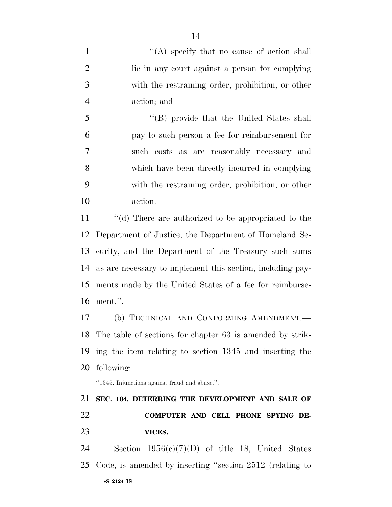1 ''(A) specify that no cause of action shall lie in any court against a person for complying with the restraining order, prohibition, or other action; and

 ''(B) provide that the United States shall pay to such person a fee for reimbursement for such costs as are reasonably necessary and which have been directly incurred in complying with the restraining order, prohibition, or other action.

 ''(d) There are authorized to be appropriated to the Department of Justice, the Department of Homeland Se- curity, and the Department of the Treasury such sums as are necessary to implement this section, including pay- ments made by the United States of a fee for reimburse-ment.''.

 (b) TECHNICAL AND CONFORMING AMENDMENT.— The table of sections for chapter 63 is amended by strik- ing the item relating to section 1345 and inserting the following:

''1345. Injunctions against fraud and abuse.''.

## **SEC. 104. DETERRING THE DEVELOPMENT AND SALE OF COMPUTER AND CELL PHONE SPYING DE-VICES.**

•**S 2124 IS** Section 1956(c)(7)(D) of title 18, United States Code, is amended by inserting ''section 2512 (relating to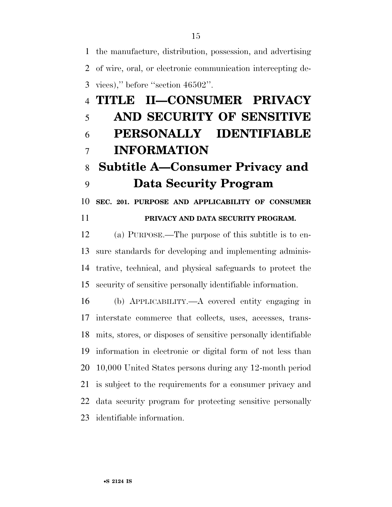the manufacture, distribution, possession, and advertising of wire, oral, or electronic communication intercepting de-vices),'' before ''section 46502''.

# **TITLE II—CONSUMER PRIVACY AND SECURITY OF SENSITIVE PERSONALLY IDENTIFIABLE INFORMATION Subtitle A—Consumer Privacy and**

### **Data Security Program**

**SEC. 201. PURPOSE AND APPLICABILITY OF CONSUMER** 

### **PRIVACY AND DATA SECURITY PROGRAM.**

 (a) PURPOSE.—The purpose of this subtitle is to en- sure standards for developing and implementing adminis- trative, technical, and physical safeguards to protect the security of sensitive personally identifiable information.

 (b) APPLICABILITY.—A covered entity engaging in interstate commerce that collects, uses, accesses, trans- mits, stores, or disposes of sensitive personally identifiable information in electronic or digital form of not less than 10,000 United States persons during any 12-month period is subject to the requirements for a consumer privacy and data security program for protecting sensitive personally identifiable information.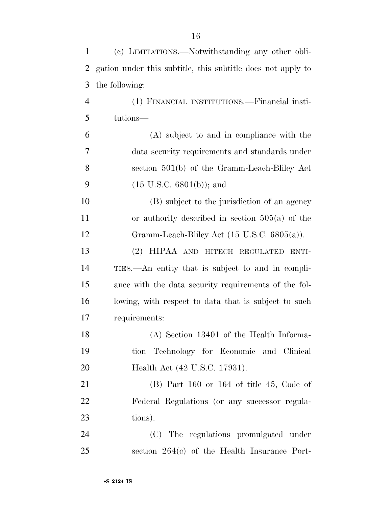| 1              | (c) LIMITATIONS.—Notwithstanding any other obli-            |
|----------------|-------------------------------------------------------------|
| 2              | gation under this subtitle, this subtitle does not apply to |
| 3              | the following:                                              |
| $\overline{4}$ | (1) FINANCIAL INSTITUTIONS.—Financial insti-                |
| 5              | tutions—                                                    |
| 6              | (A) subject to and in compliance with the                   |
| 7              | data security requirements and standards under              |
| 8              | section 501(b) of the Gramm-Leach-Bliley Act                |
| 9              | $(15 \text{ U.S.C. } 6801(b));$ and                         |
| 10             | (B) subject to the jurisdiction of an agency                |
| 11             | or authority described in section $505(a)$ of the           |
| 12             | Gramm-Leach-Bliley Act $(15 \text{ U.S.C. } 6805(a))$ .     |
| 13             | (2) HIPAA AND HITECH REGULATED ENTI-                        |
| 14             | TIES.—An entity that is subject to and in compli-           |
| 15             | ance with the data security requirements of the fol-        |
| 16             | lowing, with respect to data that is subject to such        |
| 17             | requirements:                                               |
| 18             | (A) Section 13401 of the Health Informa-                    |
| 19             | tion Technology for Economic and Clinical                   |
| 20             | Health Act (42 U.S.C. 17931).                               |
| 21             | $(B)$ Part 160 or 164 of title 45, Code of                  |
| 22             | Federal Regulations (or any successor regula-               |
| 23             | tions).                                                     |
| 24             | (C) The regulations promulgated under                       |
| 25             | section $264(c)$ of the Health Insurance Port-              |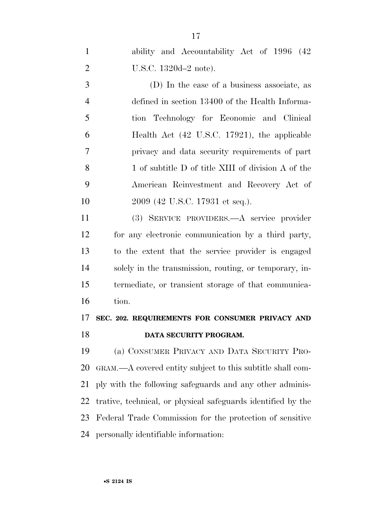ability and Accountability Act of 1996 (42 U.S.C. 1320d–2 note).

 (D) In the case of a business associate, as defined in section 13400 of the Health Informa- tion Technology for Economic and Clinical Health Act (42 U.S.C. 17921), the applicable privacy and data security requirements of part 8 1 of subtitle D of title XIII of division A of the American Reinvestment and Recovery Act of 10 2009 (42 U.S.C. 17931 et seq.).

 (3) SERVICE PROVIDERS.—A service provider for any electronic communication by a third party, to the extent that the service provider is engaged solely in the transmission, routing, or temporary, in- termediate, or transient storage of that communica-tion.

### **SEC. 202. REQUIREMENTS FOR CONSUMER PRIVACY AND DATA SECURITY PROGRAM.**

 (a) CONSUMER PRIVACY AND DATA SECURITY PRO- GRAM.—A covered entity subject to this subtitle shall com- ply with the following safeguards and any other adminis- trative, technical, or physical safeguards identified by the Federal Trade Commission for the protection of sensitive personally identifiable information: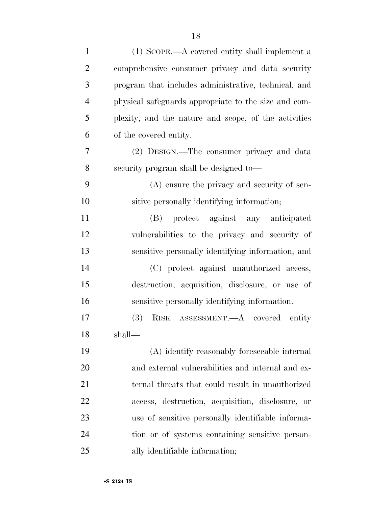| $\mathbf{1}$   | (1) SCOPE.—A covered entity shall implement a        |
|----------------|------------------------------------------------------|
| $\overline{2}$ | comprehensive consumer privacy and data security     |
| 3              | program that includes administrative, technical, and |
| $\overline{4}$ | physical safeguards appropriate to the size and com- |
| 5              | plexity, and the nature and scope, of the activities |
| 6              | of the covered entity.                               |
| 7              | (2) DESIGN.—The consumer privacy and data            |
| 8              | security program shall be designed to—               |
| 9              | (A) ensure the privacy and security of sen-          |
| 10             | sitive personally identifying information;           |
| 11             | (B) protect against any anticipated                  |
| 12             | vulnerabilities to the privacy and security of       |
| 13             | sensitive personally identifying information; and    |
| 14             | (C) protect against unauthorized access,             |
| 15             | destruction, acquisition, disclosure, or use of      |
| 16             | sensitive personally identifying information.        |
| 17             | RISK ASSESSMENT.—A covered entity<br>(3)             |
| 18             | shall-                                               |
| 19             | (A) identify reasonably foreseeable internal         |
| 20             | and external vulnerabilities and internal and ex-    |
| 21             | ternal threats that could result in unauthorized     |
| 22             | access, destruction, acquisition, disclosure,<br>or  |
| 23             | use of sensitive personally identifiable informa-    |
| 24             | tion or of systems containing sensitive person-      |
| 25             | ally identifiable information;                       |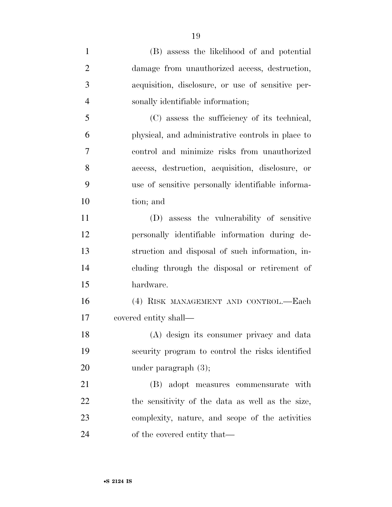| $\mathbf{1}$   | (B) assess the likelihood of and potential        |
|----------------|---------------------------------------------------|
| $\overline{2}$ | damage from unauthorized access, destruction,     |
| 3              | acquisition, disclosure, or use of sensitive per- |
| $\overline{4}$ | sonally identifiable information;                 |
| 5              | (C) assess the sufficiency of its technical,      |
| 6              | physical, and administrative controls in place to |
| 7              | control and minimize risks from unauthorized      |
| 8              | access, destruction, acquisition, disclosure, or  |
| 9              | use of sensitive personally identifiable informa- |
| 10             | tion; and                                         |
| 11             | (D) assess the vulnerability of sensitive         |
| 12             | personally identifiable information during de-    |
| 13             | struction and disposal of such information, in-   |
| 14             | cluding through the disposal or retirement of     |
| 15             | hardware.                                         |
| 16             | (4) RISK MANAGEMENT AND CONTROL.—Each             |
| 17             | covered entity shall—                             |
| 18             | (A) design its consumer privacy and data          |
| 19             | security program to control the risks identified  |
| 20             | under paragraph $(3)$ ;                           |
| 21             | (B) adopt measures commensurate with              |
| 22             | the sensitivity of the data as well as the size,  |
| 23             | complexity, nature, and scope of the activities   |
| 24             | of the covered entity that—                       |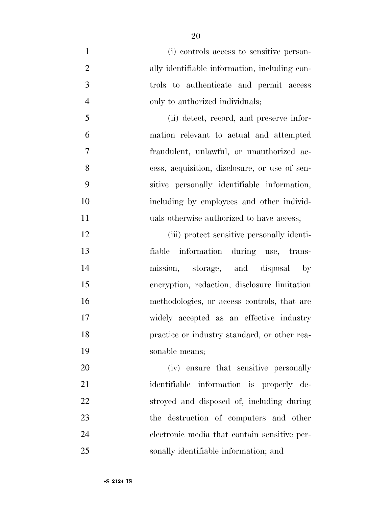(i) controls access to sensitive person- ally identifiable information, including con- trols to authenticate and permit access only to authorized individuals; (ii) detect, record, and preserve infor- mation relevant to actual and attempted fraudulent, unlawful, or unauthorized ac- cess, acquisition, disclosure, or use of sen- sitive personally identifiable information, including by employees and other individ-11 uals otherwise authorized to have access;

 (iii) protect sensitive personally identi- fiable information during use, trans- mission, storage, and disposal by encryption, redaction, disclosure limitation methodologies, or access controls, that are widely accepted as an effective industry practice or industry standard, or other rea-sonable means;

 (iv) ensure that sensitive personally identifiable information is properly de- stroyed and disposed of, including during the destruction of computers and other electronic media that contain sensitive per-sonally identifiable information; and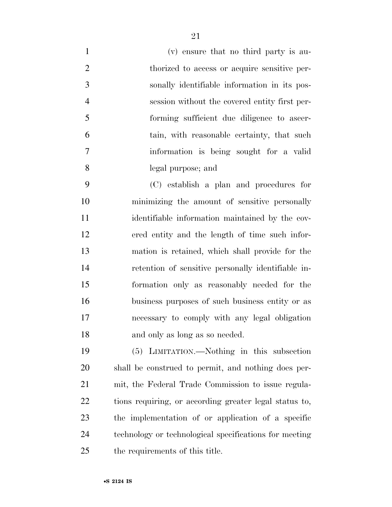(v) ensure that no third party is au- thorized to access or acquire sensitive per- sonally identifiable information in its pos- session without the covered entity first per- forming sufficient due diligence to ascer- tain, with reasonable certainty, that such information is being sought for a valid legal purpose; and

 (C) establish a plan and procedures for minimizing the amount of sensitive personally identifiable information maintained by the cov- ered entity and the length of time such infor- mation is retained, which shall provide for the retention of sensitive personally identifiable in- formation only as reasonably needed for the business purposes of such business entity or as necessary to comply with any legal obligation and only as long as so needed.

 (5) LIMITATION.—Nothing in this subsection shall be construed to permit, and nothing does per- mit, the Federal Trade Commission to issue regula- tions requiring, or according greater legal status to, the implementation of or application of a specific technology or technological specifications for meeting the requirements of this title.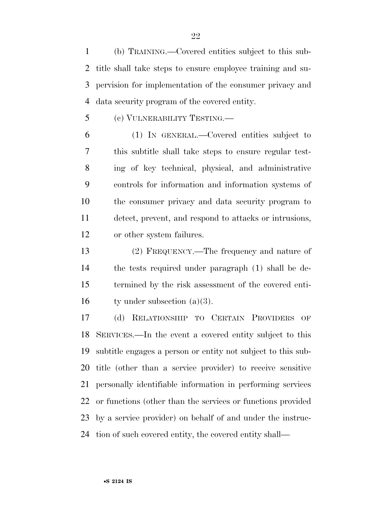(b) TRAINING.—Covered entities subject to this sub- title shall take steps to ensure employee training and su- pervision for implementation of the consumer privacy and data security program of the covered entity.

(c) VULNERABILITY TESTING.—

 (1) IN GENERAL.—Covered entities subject to this subtitle shall take steps to ensure regular test- ing of key technical, physical, and administrative controls for information and information systems of the consumer privacy and data security program to detect, prevent, and respond to attacks or intrusions, or other system failures.

 (2) FREQUENCY.—The frequency and nature of the tests required under paragraph (1) shall be de- termined by the risk assessment of the covered enti-16 ty under subsection  $(a)(3)$ .

 (d) RELATIONSHIP TO CERTAIN PROVIDERS OF SERVICES.—In the event a covered entity subject to this subtitle engages a person or entity not subject to this sub- title (other than a service provider) to receive sensitive personally identifiable information in performing services or functions (other than the services or functions provided by a service provider) on behalf of and under the instruc-tion of such covered entity, the covered entity shall—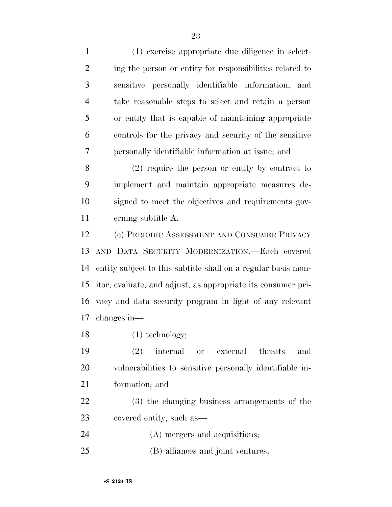(1) exercise appropriate due diligence in select-2 ing the person or entity for responsibilities related to sensitive personally identifiable information, and take reasonable steps to select and retain a person or entity that is capable of maintaining appropriate controls for the privacy and security of the sensitive personally identifiable information at issue; and (2) require the person or entity by contract to implement and maintain appropriate measures de- signed to meet the objectives and requirements gov- erning subtitle A. (e) PERIODIC ASSESSMENT AND CONSUMER PRIVACY AND DATA SECURITY MODERNIZATION.—Each covered entity subject to this subtitle shall on a regular basis mon- itor, evaluate, and adjust, as appropriate its consumer pri- vacy and data security program in light of any relevant changes in— 18 (1) technology; (2) internal or external threats and

 vulnerabilities to sensitive personally identifiable in-formation; and

 (3) the changing business arrangements of the covered entity, such as—

(A) mergers and acquisitions;

(B) alliances and joint ventures;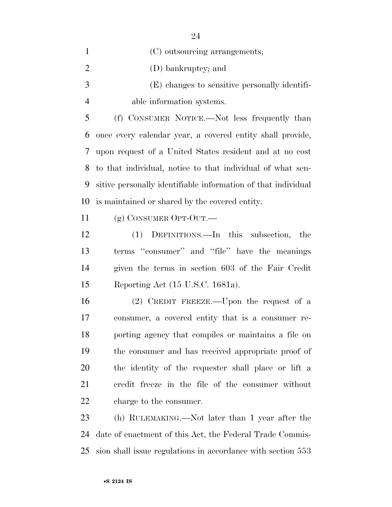|   | (C) outsourcing arrangements;                 |
|---|-----------------------------------------------|
| 2 | (D) bankruptcy; and                           |
| 3 | (E) changes to sensitive personally identifi- |
|   | able information systems.                     |
|   |                                               |

 (f) CONSUMER NOTICE.—Not less frequently than once every calendar year, a covered entity shall provide, upon request of a United States resident and at no cost to that individual, notice to that individual of what sen- sitive personally identifiable information of that individual is maintained or shared by the covered entity.

(g) CONSUMER OPT-OUT.—

 (1) DEFINITIONS.—In this subsection, the terms ''consumer'' and ''file'' have the meanings given the terms in section 603 of the Fair Credit Reporting Act (15 U.S.C. 1681a).

 (2) CREDIT FREEZE.—Upon the request of a consumer, a covered entity that is a consumer re- porting agency that compiles or maintains a file on the consumer and has received appropriate proof of the identity of the requester shall place or lift a credit freeze in the file of the consumer without charge to the consumer.

 (h) RULEMAKING.—Not later than 1 year after the date of enactment of this Act, the Federal Trade Commis-sion shall issue regulations in accordance with section 553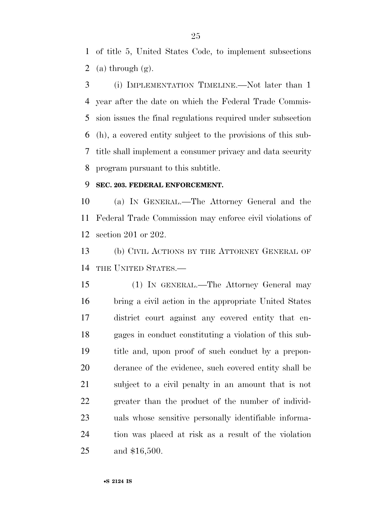of title 5, United States Code, to implement subsections 2 (a) through  $(g)$ .

 (i) IMPLEMENTATION TIMELINE.—Not later than 1 year after the date on which the Federal Trade Commis- sion issues the final regulations required under subsection (h), a covered entity subject to the provisions of this sub- title shall implement a consumer privacy and data security program pursuant to this subtitle.

### **SEC. 203. FEDERAL ENFORCEMENT.**

 (a) IN GENERAL.—The Attorney General and the Federal Trade Commission may enforce civil violations of section 201 or 202.

 (b) CIVIL ACTIONS BY THE ATTORNEY GENERAL OF THE UNITED STATES.—

 (1) IN GENERAL.—The Attorney General may bring a civil action in the appropriate United States district court against any covered entity that en- gages in conduct constituting a violation of this sub- title and, upon proof of such conduct by a prepon- derance of the evidence, such covered entity shall be subject to a civil penalty in an amount that is not greater than the product of the number of individ- uals whose sensitive personally identifiable informa- tion was placed at risk as a result of the violation and \$16,500.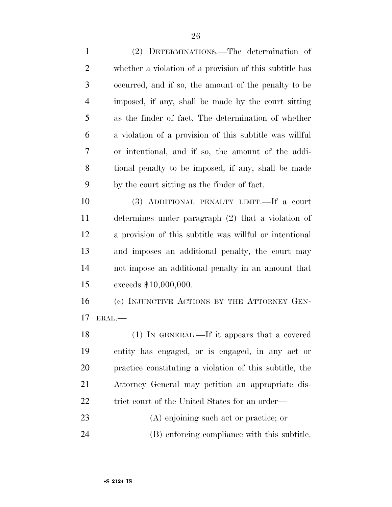(2) DETERMINATIONS.—The determination of whether a violation of a provision of this subtitle has occurred, and if so, the amount of the penalty to be imposed, if any, shall be made by the court sitting as the finder of fact. The determination of whether a violation of a provision of this subtitle was willful or intentional, and if so, the amount of the addi- tional penalty to be imposed, if any, shall be made by the court sitting as the finder of fact. (3) ADDITIONAL PENALTY LIMIT.—If a court

 determines under paragraph (2) that a violation of a provision of this subtitle was willful or intentional and imposes an additional penalty, the court may not impose an additional penalty in an amount that exceeds \$10,000,000.

16 (c) INJUNCTIVE ACTIONS BY THE ATTORNEY GEN-ERAL.—

 (1) IN GENERAL.—If it appears that a covered entity has engaged, or is engaged, in any act or practice constituting a violation of this subtitle, the Attorney General may petition an appropriate dis-22 trict court of the United States for an order—

(A) enjoining such act or practice; or

(B) enforcing compliance with this subtitle.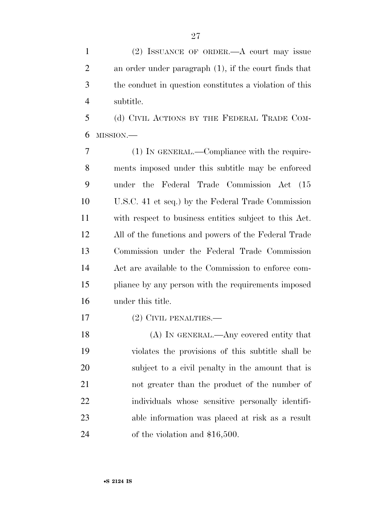(2) ISSUANCE OF ORDER.—A court may issue an order under paragraph (1), if the court finds that the conduct in question constitutes a violation of this subtitle.

 (d) CIVIL ACTIONS BY THE FEDERAL TRADE COM-MISSION.—

 (1) IN GENERAL.—Compliance with the require- ments imposed under this subtitle may be enforced under the Federal Trade Commission Act (15 U.S.C. 41 et seq.) by the Federal Trade Commission with respect to business entities subject to this Act. All of the functions and powers of the Federal Trade Commission under the Federal Trade Commission Act are available to the Commission to enforce com- pliance by any person with the requirements imposed under this title.

(2) CIVIL PENALTIES.—

18 (A) IN GENERAL.—Any covered entity that violates the provisions of this subtitle shall be subject to a civil penalty in the amount that is not greater than the product of the number of individuals whose sensitive personally identifi- able information was placed at risk as a result of the violation and \$16,500.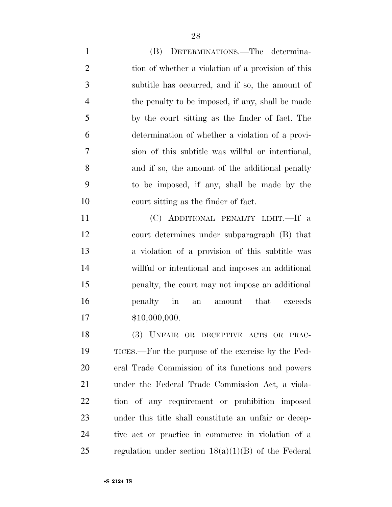(B) DETERMINATIONS.—The determina-2 tion of whether a violation of a provision of this subtitle has occurred, and if so, the amount of the penalty to be imposed, if any, shall be made by the court sitting as the finder of fact. The determination of whether a violation of a provi- sion of this subtitle was willful or intentional, and if so, the amount of the additional penalty to be imposed, if any, shall be made by the court sitting as the finder of fact.

 (C) ADDITIONAL PENALTY LIMIT.—If a court determines under subparagraph (B) that a violation of a provision of this subtitle was willful or intentional and imposes an additional penalty, the court may not impose an additional penalty in an amount that exceeds \$10,000,000.

 (3) UNFAIR OR DECEPTIVE ACTS OR PRAC- TICES.—For the purpose of the exercise by the Fed- eral Trade Commission of its functions and powers under the Federal Trade Commission Act, a viola- tion of any requirement or prohibition imposed under this title shall constitute an unfair or decep- tive act or practice in commerce in violation of a 25 regulation under section  $18(a)(1)(B)$  of the Federal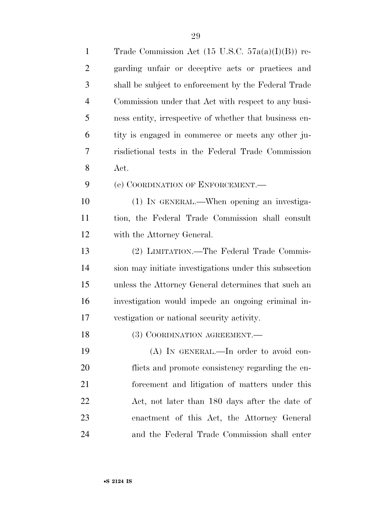| $\mathbf{1}$   | Trade Commission Act $(15 \text{ U.S.C. } 57a(a)(I)(B))$ re- |
|----------------|--------------------------------------------------------------|
| $\overline{2}$ | garding unfair or deceptive acts or practices and            |
| 3              | shall be subject to enforcement by the Federal Trade         |
| $\overline{4}$ | Commission under that Act with respect to any busi-          |
| 5              | ness entity, irrespective of whether that business en-       |
| 6              | tity is engaged in commerce or meets any other ju-           |
| 7              | risdictional tests in the Federal Trade Commission           |
| 8              | Act.                                                         |
| 9              | (e) COORDINATION OF ENFORCEMENT.                             |
| 10             | (1) IN GENERAL.—When opening an investiga-                   |
| 11             | tion, the Federal Trade Commission shall consult             |
| 12             | with the Attorney General.                                   |
| 13             | (2) LIMITATION.—The Federal Trade Commis-                    |
| 14             | sion may initiate investigations under this subsection       |
| 15             | unless the Attorney General determines that such an          |
| 16             | investigation would impede an ongoing criminal in-           |
| 17             | vestigation or national security activity.                   |
| 18             | (3) COORDINATION AGREEMENT.                                  |
| 19             | $(A)$ IN GENERAL.—In order to avoid con-                     |
| 20             | flicts and promote consistency regarding the en-             |
| 21             | forcement and litigation of matters under this               |
| 22             | Act, not later than 180 days after the date of               |
| 23             | enactment of this Act, the Attorney General                  |
| 24             | and the Federal Trade Commission shall enter                 |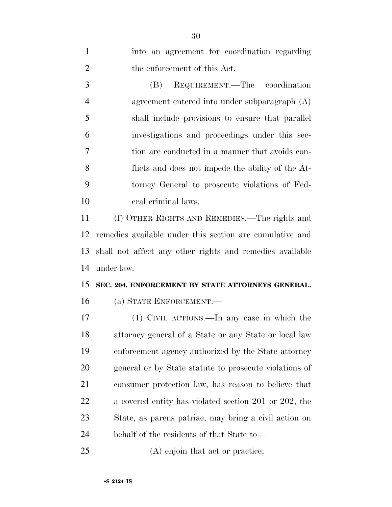| $\mathbf{1}$   | into an agreement for coordination regarding             |
|----------------|----------------------------------------------------------|
| $\overline{2}$ | the enforcement of this Act.                             |
| 3              | REQUIREMENT.—The coordination<br>(B)                     |
| $\overline{4}$ | agreement entered into under subparagraph (A)            |
| 5              | shall include provisions to ensure that parallel         |
| 6              | investigations and proceedings under this sec-           |
| 7              | tion are conducted in a manner that avoids con-          |
| 8              | flicts and does not impede the ability of the At-        |
| 9              | torney General to prosecute violations of Fed-           |
| 10             | eral criminal laws.                                      |
| 11             | (f) OTHER RIGHTS AND REMEDIES.—The rights and            |
| 12             | remedies available under this section are cumulative and |
| 13             | shall not affect any other rights and remedies available |
| 14             | under law.                                               |
| 15             | SEC. 204. ENFORCEMENT BY STATE ATTORNEYS GENERAL.        |
| 16             | (a) STATE ENFORCEMENT.—                                  |
| 17             | (1) CIVIL ACTIONS.—In any case in which the              |
| 18             | attorney general of a State or any State or local law    |
| 19             | enforcement agency authorized by the State attorney      |
| 20             | general or by State statute to prosecute violations of   |
| 21             | consumer protection law, has reason to believe that      |
| 22             | a covered entity has violated section 201 or 202, the    |
| 23             | State, as parens patriae, may bring a civil action on    |
| 24             | behalf of the residents of that State to-                |
| 25             | (A) enjoin that act or practice;                         |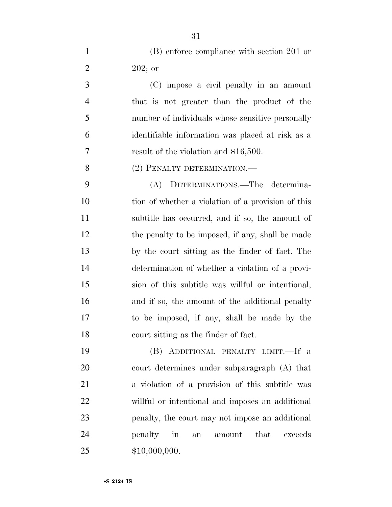(B) enforce compliance with section 201 or 2 202; or

 (C) impose a civil penalty in an amount that is not greater than the product of the number of individuals whose sensitive personally identifiable information was placed at risk as a result of the violation and \$16,500.

8 (2) PENALTY DETERMINATION.—

 (A) DETERMINATIONS.—The determina-10 tion of whether a violation of a provision of this subtitle has occurred, and if so, the amount of 12 the penalty to be imposed, if any, shall be made by the court sitting as the finder of fact. The determination of whether a violation of a provi- sion of this subtitle was willful or intentional, 16 and if so, the amount of the additional penalty to be imposed, if any, shall be made by the court sitting as the finder of fact.

 (B) ADDITIONAL PENALTY LIMIT.—If a court determines under subparagraph (A) that a violation of a provision of this subtitle was willful or intentional and imposes an additional penalty, the court may not impose an additional penalty in an amount that exceeds \$10,000,000.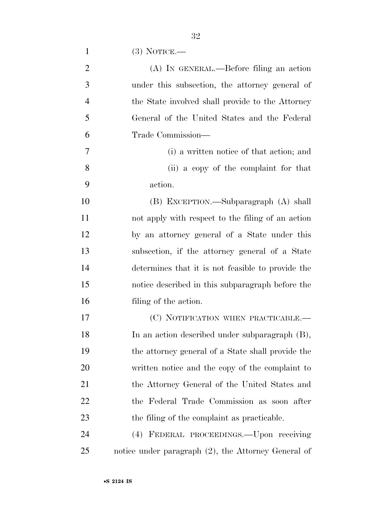| $\overline{2}$ | (A) IN GENERAL.—Before filing an action                |
|----------------|--------------------------------------------------------|
| 3              | under this subsection, the attorney general of         |
| $\overline{4}$ | the State involved shall provide to the Attorney       |
| 5              | General of the United States and the Federal           |
| 6              | Trade Commission—                                      |
| $\tau$         | (i) a written notice of that action; and               |
| 8              | (ii) a copy of the complaint for that                  |
| 9              | action.                                                |
| 10             | (B) EXCEPTION.—Subparagraph (A) shall                  |
| 11             | not apply with respect to the filing of an action      |
| 12             | by an attorney general of a State under this           |
| 13             | subsection, if the attorney general of a State         |
| 14             | determines that it is not feasible to provide the      |
| 15             | notice described in this subparagraph before the       |
| 16             | filing of the action.                                  |
| 17             | (C) NOTIFICATION WHEN PRACTICABLE.—                    |
| 18             | In an action described under subparagraph (B),         |
| 19             | the attorney general of a State shall provide the      |
| 20             | written notice and the copy of the complaint to        |
| 21             | the Attorney General of the United States and          |
| 22             | the Federal Trade Commission as soon after             |
| 23             | the filing of the complaint as practicable.            |
| 24             | (4) FEDERAL PROCEEDINGS.—Upon receiving                |
| 25             | notice under paragraph $(2)$ , the Attorney General of |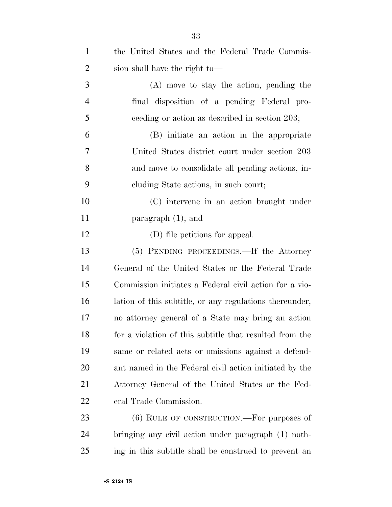| $\mathbf{1}$   | the United States and the Federal Trade Commis-         |
|----------------|---------------------------------------------------------|
| $\overline{2}$ | sion shall have the right to-                           |
| 3              | $(A)$ move to stay the action, pending the              |
| $\overline{4}$ | final disposition of a pending Federal pro-             |
| 5              | ceeding or action as described in section 203;          |
| 6              | (B) initiate an action in the appropriate               |
| 7              | United States district court under section 203          |
| 8              | and move to consolidate all pending actions, in-        |
| 9              | eluding State actions, in such court;                   |
| 10             | (C) intervene in an action brought under                |
| 11             | paragraph $(1)$ ; and                                   |
| 12             | (D) file petitions for appeal.                          |
| 13             | (5) PENDING PROCEEDINGS.—If the Attorney                |
| 14             | General of the United States or the Federal Trade       |
| 15             | Commission initiates a Federal civil action for a vio-  |
| 16             | lation of this subtitle, or any regulations thereunder, |
| 17             | no attorney general of a State may bring an action      |
| 18             | for a violation of this subtitle that resulted from the |
| 19             | same or related acts or omissions against a defend-     |
| 20             | ant named in the Federal civil action initiated by the  |
| 21             | Attorney General of the United States or the Fed-       |
| <u>22</u>      | eral Trade Commission.                                  |
| 23             | $(6)$ RULE OF CONSTRUCTION.—For purposes of             |
| 24             | bringing any civil action under paragraph (1) noth-     |
| 25             | ing in this subtitle shall be construed to prevent an   |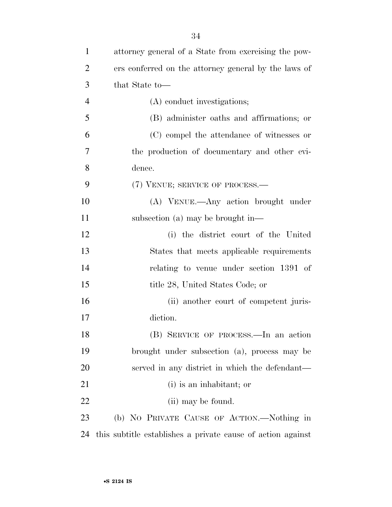| $\mathbf{1}$   | attorney general of a State from exercising the pow-        |
|----------------|-------------------------------------------------------------|
| $\overline{2}$ | ers conferred on the attorney general by the laws of        |
| 3              | that State to-                                              |
| $\overline{4}$ | (A) conduct investigations;                                 |
| 5              | (B) administer oaths and affirmations; or                   |
| 6              | (C) compel the attendance of witnesses or                   |
| 7              | the production of documentary and other evi-                |
| 8              | dence.                                                      |
| 9              | (7) VENUE; SERVICE OF PROCESS.-                             |
| 10             | (A) VENUE.—Any action brought under                         |
| 11             | subsection (a) may be brought in—                           |
| 12             | (i) the district court of the United                        |
| 13             | States that meets applicable requirements                   |
| 14             | relating to venue under section 1391 of                     |
| 15             | title 28, United States Code; or                            |
| 16             | (ii) another court of competent juris-                      |
| 17             | diction.                                                    |
| 18             | (B) SERVICE OF PROCESS.—In an action                        |
| 19             | brought under subsection (a), process may be                |
| 20             | served in any district in which the defendant—              |
| 21             | (i) is an inhabitant; or                                    |
| 22             | (ii) may be found.                                          |
| 23             | (b) NO PRIVATE CAUSE OF ACTION.—Nothing in                  |
| 24             | this subtitle establishes a private cause of action against |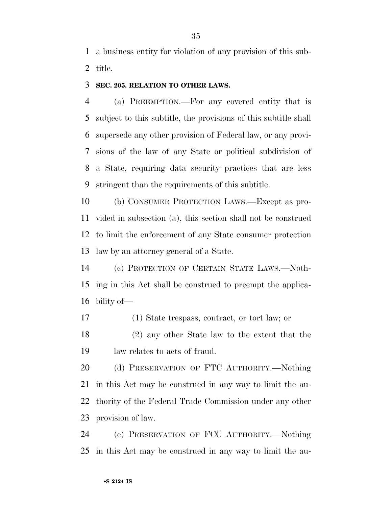a business entity for violation of any provision of this sub-title.

### **SEC. 205. RELATION TO OTHER LAWS.**

 (a) PREEMPTION.—For any covered entity that is subject to this subtitle, the provisions of this subtitle shall supersede any other provision of Federal law, or any provi- sions of the law of any State or political subdivision of a State, requiring data security practices that are less stringent than the requirements of this subtitle.

 (b) CONSUMER PROTECTION LAWS.—Except as pro- vided in subsection (a), this section shall not be construed to limit the enforcement of any State consumer protection law by an attorney general of a State.

 (c) PROTECTION OF CERTAIN STATE LAWS.—Noth- ing in this Act shall be construed to preempt the applica-bility of—

(1) State trespass, contract, or tort law; or

 (2) any other State law to the extent that the law relates to acts of fraud.

 (d) PRESERVATION OF FTC AUTHORITY.—Nothing in this Act may be construed in any way to limit the au- thority of the Federal Trade Commission under any other provision of law.

 (e) PRESERVATION OF FCC AUTHORITY.—Nothing in this Act may be construed in any way to limit the au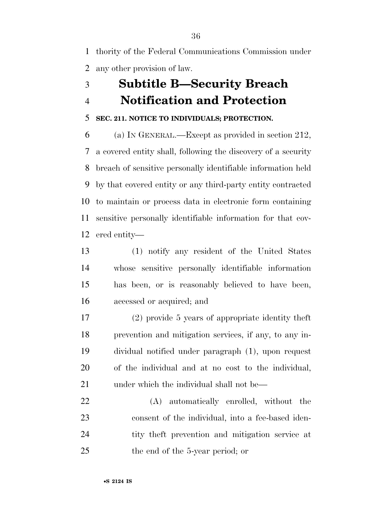thority of the Federal Communications Commission under any other provision of law.

## **Subtitle B—Security Breach Notification and Protection**

### **SEC. 211. NOTICE TO INDIVIDUALS; PROTECTION.**

 (a) IN GENERAL.—Except as provided in section 212, a covered entity shall, following the discovery of a security breach of sensitive personally identifiable information held by that covered entity or any third-party entity contracted to maintain or process data in electronic form containing sensitive personally identifiable information for that cov-ered entity—

 (1) notify any resident of the United States whose sensitive personally identifiable information has been, or is reasonably believed to have been, accessed or acquired; and

 (2) provide 5 years of appropriate identity theft prevention and mitigation services, if any, to any in- dividual notified under paragraph (1), upon request of the individual and at no cost to the individual, 21 under which the individual shall not be—

 (A) automatically enrolled, without the consent of the individual, into a fee-based iden- tity theft prevention and mitigation service at the end of the 5-year period; or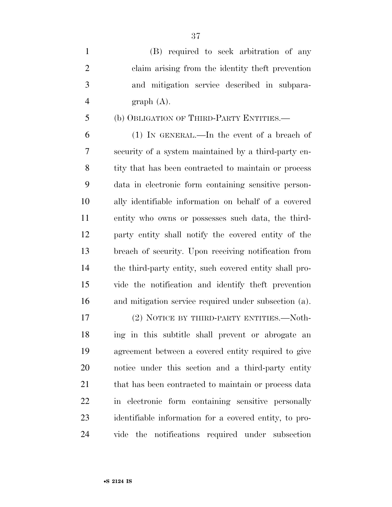| $\mathbf{1}$ | (B) required to seek arbitration of any          |
|--------------|--------------------------------------------------|
| 2            | claim arising from the identity the t prevention |
| 3            | and mitigation service described in subpara-     |
| 4            | graph(A).                                        |
| 5            | (b) OBLIGATION OF THIRD-PARTY ENTITIES.—         |

 (1) IN GENERAL.—In the event of a breach of security of a system maintained by a third-party en- tity that has been contracted to maintain or process data in electronic form containing sensitive person- ally identifiable information on behalf of a covered entity who owns or possesses such data, the third- party entity shall notify the covered entity of the breach of security. Upon receiving notification from the third-party entity, such covered entity shall pro- vide the notification and identify theft prevention and mitigation service required under subsection (a).

17 (2) NOTICE BY THIRD-PARTY ENTITIES.—Noth- ing in this subtitle shall prevent or abrogate an agreement between a covered entity required to give notice under this section and a third-party entity 21 that has been contracted to maintain or process data in electronic form containing sensitive personally identifiable information for a covered entity, to pro-vide the notifications required under subsection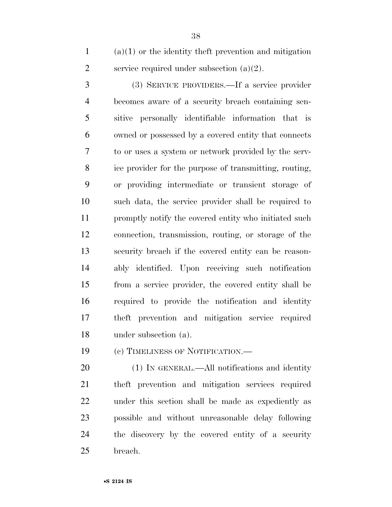(a)(1) or the identity theft prevention and mitigation 2 service required under subsection  $(a)(2)$ .

 (3) SERVICE PROVIDERS.—If a service provider becomes aware of a security breach containing sen- sitive personally identifiable information that is owned or possessed by a covered entity that connects to or uses a system or network provided by the serv- ice provider for the purpose of transmitting, routing, or providing intermediate or transient storage of such data, the service provider shall be required to promptly notify the covered entity who initiated such connection, transmission, routing, or storage of the security breach if the covered entity can be reason- ably identified. Upon receiving such notification from a service provider, the covered entity shall be required to provide the notification and identity theft prevention and mitigation service required under subsection (a).

(c) TIMELINESS OF NOTIFICATION.—

20 (1) IN GENERAL.—All notifications and identity theft prevention and mitigation services required under this section shall be made as expediently as possible and without unreasonable delay following the discovery by the covered entity of a security breach.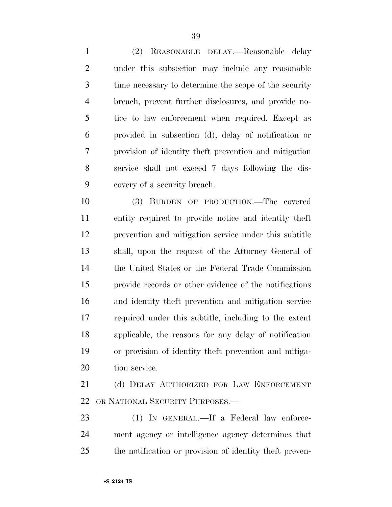(2) REASONABLE DELAY.—Reasonable delay under this subsection may include any reasonable time necessary to determine the scope of the security breach, prevent further disclosures, and provide no- tice to law enforcement when required. Except as provided in subsection (d), delay of notification or provision of identity theft prevention and mitigation service shall not exceed 7 days following the dis-covery of a security breach.

 (3) BURDEN OF PRODUCTION.—The covered entity required to provide notice and identity theft prevention and mitigation service under this subtitle shall, upon the request of the Attorney General of the United States or the Federal Trade Commission provide records or other evidence of the notifications and identity theft prevention and mitigation service required under this subtitle, including to the extent applicable, the reasons for any delay of notification or provision of identity theft prevention and mitiga-tion service.

 (d) DELAY AUTHORIZED FOR LAW ENFORCEMENT OR NATIONAL SECURITY PURPOSES.—

23 (1) IN GENERAL.—If a Federal law enforce- ment agency or intelligence agency determines that the notification or provision of identity theft preven-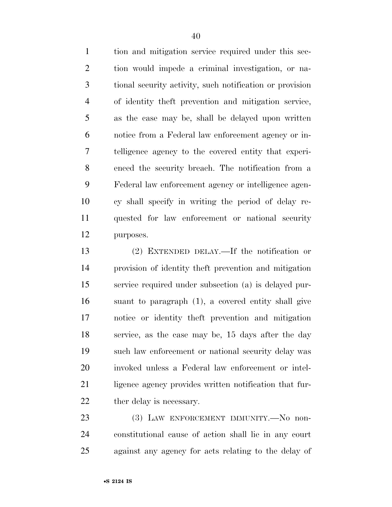tion and mitigation service required under this sec- tion would impede a criminal investigation, or na- tional security activity, such notification or provision of identity theft prevention and mitigation service, as the case may be, shall be delayed upon written notice from a Federal law enforcement agency or in- telligence agency to the covered entity that experi- enced the security breach. The notification from a Federal law enforcement agency or intelligence agen- cy shall specify in writing the period of delay re- quested for law enforcement or national security purposes.

 (2) EXTENDED DELAY.—If the notification or provision of identity theft prevention and mitigation service required under subsection (a) is delayed pur- suant to paragraph (1), a covered entity shall give notice or identity theft prevention and mitigation service, as the case may be, 15 days after the day such law enforcement or national security delay was invoked unless a Federal law enforcement or intel-21 ligence agency provides written notification that fur-22 ther delay is necessary.

 (3) LAW ENFORCEMENT IMMUNITY.—No non- constitutional cause of action shall lie in any court against any agency for acts relating to the delay of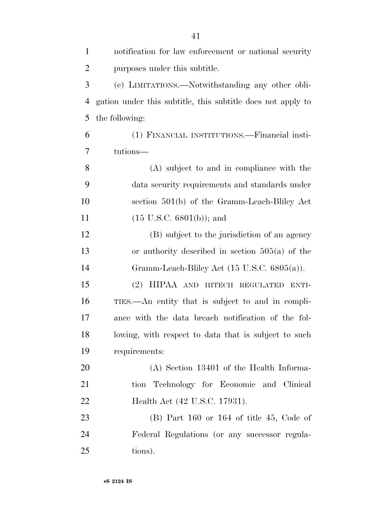| $\mathbf{1}$   | notification for law enforcement or national security       |
|----------------|-------------------------------------------------------------|
| $\overline{2}$ | purposes under this subtitle.                               |
| 3              | (e) LIMITATIONS.—Notwithstanding any other obli-            |
| $\overline{4}$ | gation under this subtitle, this subtitle does not apply to |
| 5              | the following:                                              |
| 6              | (1) FINANCIAL INSTITUTIONS.—Financial insti-                |
| 7              | tutions—                                                    |
| 8              | (A) subject to and in compliance with the                   |
| 9              | data security requirements and standards under              |
| 10             | section 501(b) of the Gramm-Leach-Bliley Act                |
| 11             | $(15 \text{ U.S.C. } 6801(b));$ and                         |
| 12             | (B) subject to the jurisdiction of an agency                |
| 13             | or authority described in section $505(a)$ of the           |
| 14             | Gramm-Leach-Bliley Act $(15 \text{ U.S.C. } 6805(a))$ .     |
| 15             | (2) HIPAA AND HITECH REGULATED<br>ENTI-                     |
| 16             | TIES.—An entity that is subject to and in compli-           |
| 17             | ance with the data breach notification of the fol-          |
| 18             | lowing, with respect to data that is subject to such        |
| 19             | requirements:                                               |
| 20             | (A) Section 13401 of the Health Informa-                    |
| 21             | tion Technology for Economic and Clinical                   |
| 22             | Health Act (42 U.S.C. 17931).                               |
| 23             | $(B)$ Part 160 or 164 of title 45, Code of                  |
| 24             | Federal Regulations (or any successor regula-               |
| 25             | tions).                                                     |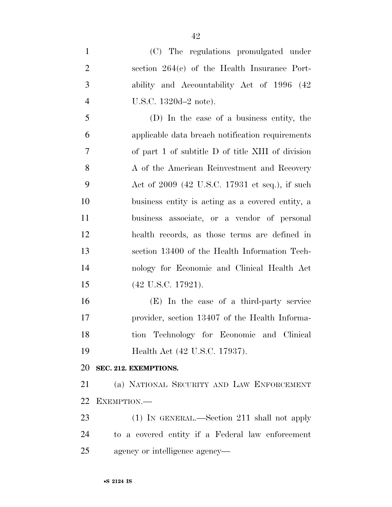(C) The regulations promulgated under section 264(c) of the Health Insurance Port- ability and Accountability Act of 1996 (42 U.S.C. 1320d–2 note). (D) In the case of a business entity, the applicable data breach notification requirements of part 1 of subtitle D of title XIII of division 8 A of the American Reinvestment and Recovery Act of 2009 (42 U.S.C. 17931 et seq.), if such business entity is acting as a covered entity, a business associate, or a vendor of personal health records, as those terms are defined in section 13400 of the Health Information Tech- nology for Economic and Clinical Health Act (42 U.S.C. 17921). (E) In the case of a third-party service provider, section 13407 of the Health Informa- tion Technology for Economic and Clinical Health Act (42 U.S.C. 17937). **SEC. 212. EXEMPTIONS.** 

 (a) NATIONAL SECURITY AND LAW ENFORCEMENT EXEMPTION.—

 (1) IN GENERAL.—Section 211 shall not apply to a covered entity if a Federal law enforcement agency or intelligence agency—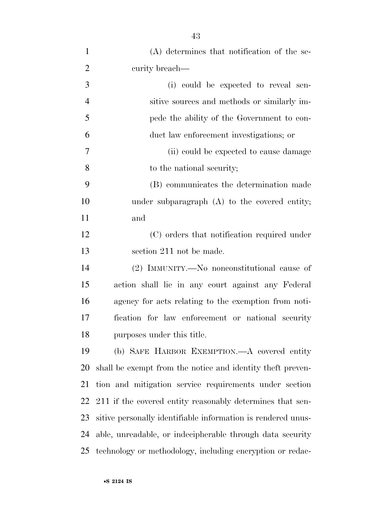| $\mathbf{1}$   | (A) determines that notification of the se-                  |
|----------------|--------------------------------------------------------------|
| $\overline{2}$ | curity breach-                                               |
| 3              | (i) could be expected to reveal sen-                         |
| $\overline{4}$ | sitive sources and methods or similarly im-                  |
| 5              | pede the ability of the Government to con-                   |
| 6              | duct law enforcement investigations; or                      |
| 7              | (ii) could be expected to cause damage                       |
| 8              | to the national security;                                    |
| 9              | (B) communicates the determination made                      |
| 10             | under subparagraph $(A)$ to the covered entity;              |
| 11             | and                                                          |
| 12             | (C) orders that notification required under                  |
| 13             | section 211 not be made.                                     |
| 14             | (2) IMMUNITY.—No nonconstitutional cause of                  |
| 15             | action shall lie in any court against any Federal            |
| 16             | agency for acts relating to the exemption from noti-         |
| 17             | fication for law enforcement or national security            |
| 18             | purposes under this title.                                   |
| 19             | (b) SAFE HARBOR EXEMPTION.—A covered entity                  |
| 20             | shall be exempt from the notice and identity the ft preven-  |
| 21             | tion and mitigation service requirements under section       |
| 22             | 211 if the covered entity reasonably determines that sen-    |
| 23             | sitive personally identifiable information is rendered unus- |
| 24             | able, unreadable, or indecipherable through data security    |
| 25             | technology or methodology, including encryption or redac-    |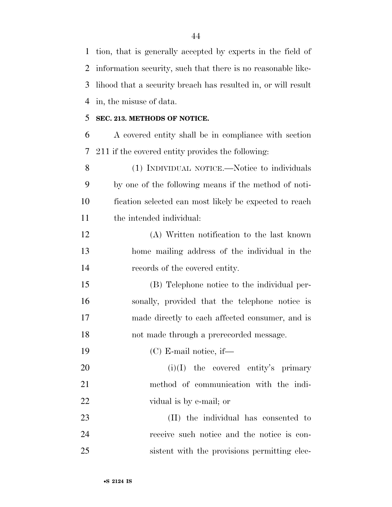tion, that is generally accepted by experts in the field of information security, such that there is no reasonable like- lihood that a security breach has resulted in, or will result in, the misuse of data.

### **SEC. 213. METHODS OF NOTICE.**

 A covered entity shall be in compliance with section 211 if the covered entity provides the following:

 (1) INDIVIDUAL NOTICE.—Notice to individuals by one of the following means if the method of noti- fication selected can most likely be expected to reach the intended individual:

 (A) Written notification to the last known home mailing address of the individual in the records of the covered entity.

 (B) Telephone notice to the individual per- sonally, provided that the telephone notice is made directly to each affected consumer, and is not made through a prerecorded message.

(C) E-mail notice, if—

20  $(i)(I)$  the covered entity's primary method of communication with the indi-vidual is by e-mail; or

 (II) the individual has consented to receive such notice and the notice is con-sistent with the provisions permitting elec-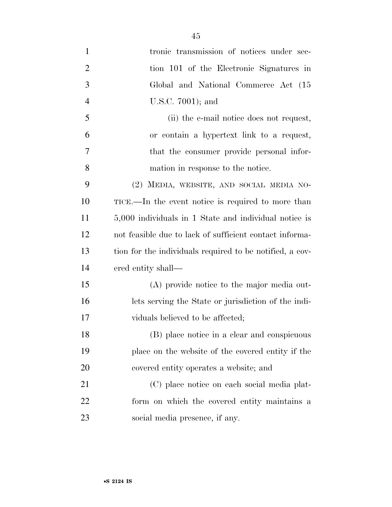1 tronic transmission of notices under sec- tion 101 of the Electronic Signatures in Global and National Commerce Act (15 U.S.C. 7001); and (ii) the e-mail notice does not request, or contain a hypertext link to a request, that the consumer provide personal infor- mation in response to the notice. (2) MEDIA, WEBSITE, AND SOCIAL MEDIA NO- TICE.—In the event notice is required to more than 5,000 individuals in 1 State and individual notice is not feasible due to lack of sufficient contact informa- tion for the individuals required to be notified, a cov- ered entity shall— (A) provide notice to the major media out- lets serving the State or jurisdiction of the indi- viduals believed to be affected; (B) place notice in a clear and conspicuous place on the website of the covered entity if the covered entity operates a website; and (C) place notice on each social media plat- form on which the covered entity maintains a social media presence, if any.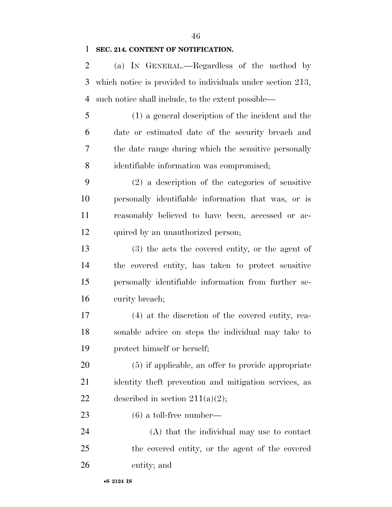### **SEC. 214. CONTENT OF NOTIFICATION.**

 (a) IN GENERAL.—Regardless of the method by which notice is provided to individuals under section 213, such notice shall include, to the extent possible—

 (1) a general description of the incident and the date or estimated date of the security breach and the date range during which the sensitive personally identifiable information was compromised;

 (2) a description of the categories of sensitive personally identifiable information that was, or is reasonably believed to have been, accessed or ac-12 quired by an unauthorized person;

 (3) the acts the covered entity, or the agent of the covered entity, has taken to protect sensitive personally identifiable information from further se-curity breach;

 (4) at the discretion of the covered entity, rea- sonable advice on steps the individual may take to protect himself or herself;

 (5) if applicable, an offer to provide appropriate identity theft prevention and mitigation services, as 22 described in section  $211(a)(2)$ ;

(6) a toll-free number—

 (A) that the individual may use to contact the covered entity, or the agent of the covered entity; and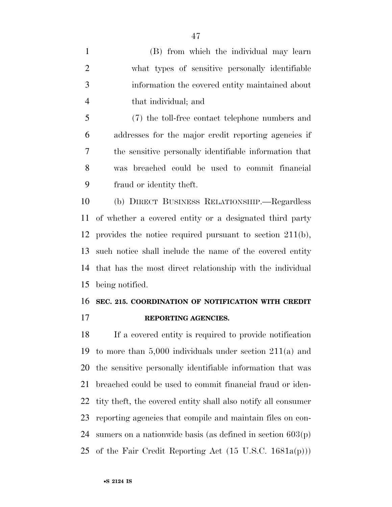(B) from which the individual may learn what types of sensitive personally identifiable information the covered entity maintained about that individual; and

 (7) the toll-free contact telephone numbers and addresses for the major credit reporting agencies if the sensitive personally identifiable information that was breached could be used to commit financial fraud or identity theft.

 (b) DIRECT BUSINESS RELATIONSHIP.—Regardless of whether a covered entity or a designated third party provides the notice required pursuant to section 211(b), such notice shall include the name of the covered entity that has the most direct relationship with the individual being notified.

### **SEC. 215. COORDINATION OF NOTIFICATION WITH CREDIT**

**REPORTING AGENCIES.** 

 If a covered entity is required to provide notification to more than 5,000 individuals under section 211(a) and the sensitive personally identifiable information that was breached could be used to commit financial fraud or iden- tity theft, the covered entity shall also notify all consumer reporting agencies that compile and maintain files on con-24 sumers on a nationwide basis (as defined in section  $603(p)$ ) 25 of the Fair Credit Reporting Act  $(15 \text{ U.S.C. } 1681a(p)))$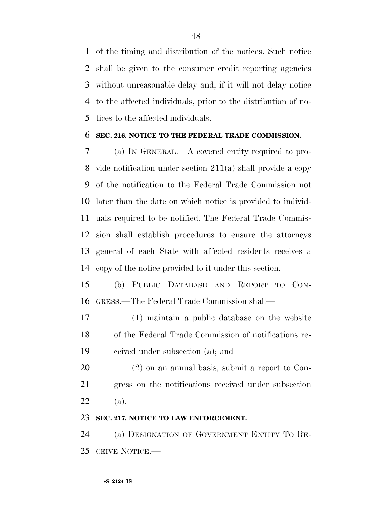of the timing and distribution of the notices. Such notice shall be given to the consumer credit reporting agencies without unreasonable delay and, if it will not delay notice to the affected individuals, prior to the distribution of no-tices to the affected individuals.

### **SEC. 216. NOTICE TO THE FEDERAL TRADE COMMISSION.**

 (a) IN GENERAL.—A covered entity required to pro- vide notification under section 211(a) shall provide a copy of the notification to the Federal Trade Commission not later than the date on which notice is provided to individ- uals required to be notified. The Federal Trade Commis- sion shall establish procedures to ensure the attorneys general of each State with affected residents receives a copy of the notice provided to it under this section.

 (b) PUBLIC DATABASE AND REPORT TO CON-GRESS.—The Federal Trade Commission shall—

 (1) maintain a public database on the website of the Federal Trade Commission of notifications re-ceived under subsection (a); and

 (2) on an annual basis, submit a report to Con- gress on the notifications received under subsection (a).

### **SEC. 217. NOTICE TO LAW ENFORCEMENT.**

 (a) DESIGNATION OF GOVERNMENT ENTITY TO RE-CEIVE NOTICE.—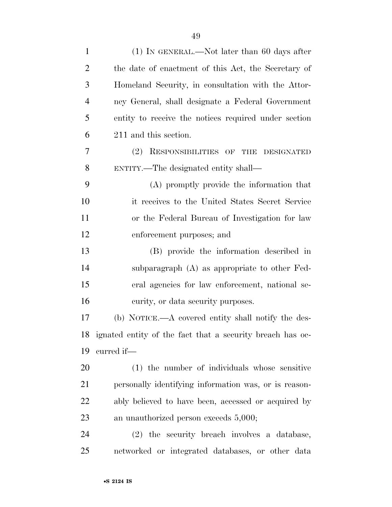| $\mathbf{1}$   | $(1)$ In GENERAL.—Not later than 60 days after               |
|----------------|--------------------------------------------------------------|
| $\overline{2}$ | the date of enactment of this Act, the Secretary of          |
| 3              | Homeland Security, in consultation with the Attor-           |
| $\overline{4}$ | ney General, shall designate a Federal Government            |
| 5              | entity to receive the notices required under section         |
| 6              | 211 and this section.                                        |
| 7              | (2) RESPONSIBILITIES OF<br><b>THE</b><br>DESIGNATED          |
| 8              | ENTITY.—The designated entity shall—                         |
| 9              | (A) promptly provide the information that                    |
| 10             | it receives to the United States Secret Service              |
| 11             | or the Federal Bureau of Investigation for law               |
| 12             | enforcement purposes; and                                    |
| 13             | (B) provide the information described in                     |
| 14             | subparagraph (A) as appropriate to other Fed-                |
| 15             | eral agencies for law enforcement, national se-              |
| 16             | curity, or data security purposes.                           |
| 17             | (b) NOTICE.—A covered entity shall notify the des-           |
|                | 18 ignated entity of the fact that a security breach has oc- |
| 19             | curred if-                                                   |
| 20             | (1) the number of individuals whose sensitive                |
| 21             | personally identifying information was, or is reason-        |
| 22             | ably believed to have been, accessed or acquired by          |
| 23             | an unauthorized person exceeds $5,000;$                      |
| 24             | (2) the security breach involves a database,                 |
| 25             | networked or integrated databases, or other data             |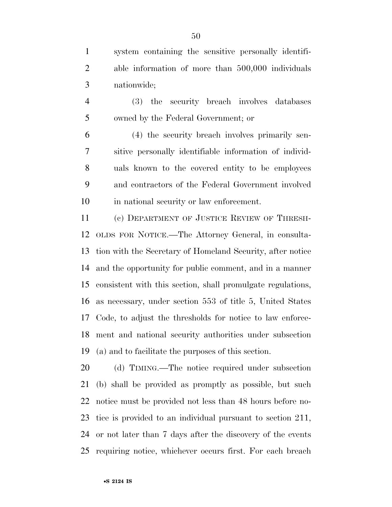system containing the sensitive personally identifi- able information of more than 500,000 individuals nationwide;

 (3) the security breach involves databases owned by the Federal Government; or

 (4) the security breach involves primarily sen- sitive personally identifiable information of individ- uals known to the covered entity to be employees and contractors of the Federal Government involved in national security or law enforcement.

 (c) DEPARTMENT OF JUSTICE REVIEW OF THRESH- OLDS FOR NOTICE.—The Attorney General, in consulta- tion with the Secretary of Homeland Security, after notice and the opportunity for public comment, and in a manner consistent with this section, shall promulgate regulations, as necessary, under section 553 of title 5, United States Code, to adjust the thresholds for notice to law enforce- ment and national security authorities under subsection (a) and to facilitate the purposes of this section.

 (d) TIMING.—The notice required under subsection (b) shall be provided as promptly as possible, but such notice must be provided not less than 48 hours before no- tice is provided to an individual pursuant to section 211, or not later than 7 days after the discovery of the events requiring notice, whichever occurs first. For each breach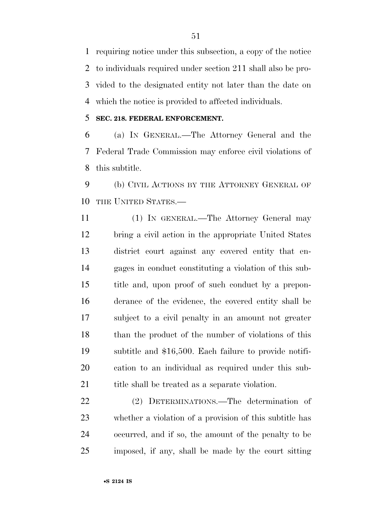requiring notice under this subsection, a copy of the notice to individuals required under section 211 shall also be pro- vided to the designated entity not later than the date on which the notice is provided to affected individuals.

### **SEC. 218. FEDERAL ENFORCEMENT.**

 (a) IN GENERAL.—The Attorney General and the Federal Trade Commission may enforce civil violations of this subtitle.

 (b) CIVIL ACTIONS BY THE ATTORNEY GENERAL OF 10 THE UNITED STATES.

 (1) IN GENERAL.—The Attorney General may bring a civil action in the appropriate United States district court against any covered entity that en- gages in conduct constituting a violation of this sub- title and, upon proof of such conduct by a prepon- derance of the evidence, the covered entity shall be subject to a civil penalty in an amount not greater than the product of the number of violations of this subtitle and \$16,500. Each failure to provide notifi- cation to an individual as required under this sub-21 title shall be treated as a separate violation.

 (2) DETERMINATIONS.—The determination of whether a violation of a provision of this subtitle has occurred, and if so, the amount of the penalty to be imposed, if any, shall be made by the court sitting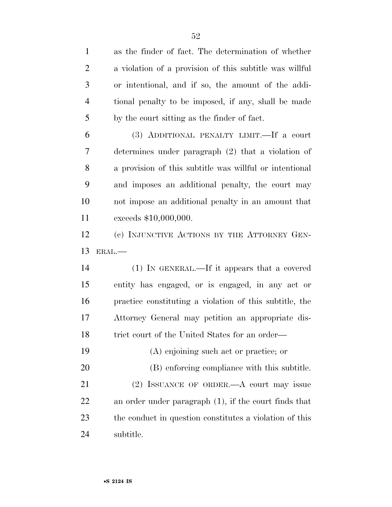as the finder of fact. The determination of whether a violation of a provision of this subtitle was willful or intentional, and if so, the amount of the addi- tional penalty to be imposed, if any, shall be made by the court sitting as the finder of fact. (3) ADDITIONAL PENALTY LIMIT.—If a court determines under paragraph (2) that a violation of a provision of this subtitle was willful or intentional and imposes an additional penalty, the court may not impose an additional penalty in an amount that exceeds \$10,000,000. (c) INJUNCTIVE ACTIONS BY THE ATTORNEY GEN- ERAL.— (1) IN GENERAL.—If it appears that a covered entity has engaged, or is engaged, in any act or practice constituting a violation of this subtitle, the Attorney General may petition an appropriate dis-18 trict court of the United States for an order— (A) enjoining such act or practice; or (B) enforcing compliance with this subtitle. 21 (2) ISSUANCE OF ORDER.—A court may issue an order under paragraph (1), if the court finds that the conduct in question constitutes a violation of this subtitle.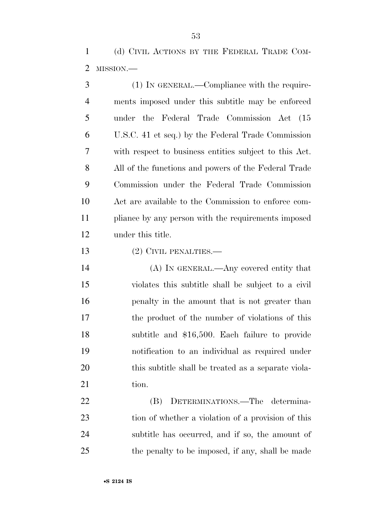(d) CIVIL ACTIONS BY THE FEDERAL TRADE COM-MISSION.—

 (1) IN GENERAL.—Compliance with the require- ments imposed under this subtitle may be enforced under the Federal Trade Commission Act (15 U.S.C. 41 et seq.) by the Federal Trade Commission with respect to business entities subject to this Act. All of the functions and powers of the Federal Trade Commission under the Federal Trade Commission Act are available to the Commission to enforce com- pliance by any person with the requirements imposed under this title.

13 (2) CIVIL PENALTIES.—

 (A) IN GENERAL.—Any covered entity that violates this subtitle shall be subject to a civil penalty in the amount that is not greater than the product of the number of violations of this subtitle and \$16,500. Each failure to provide notification to an individual as required under this subtitle shall be treated as a separate viola-21 tion.

 (B) DETERMINATIONS.—The determina- tion of whether a violation of a provision of this subtitle has occurred, and if so, the amount of 25 the penalty to be imposed, if any, shall be made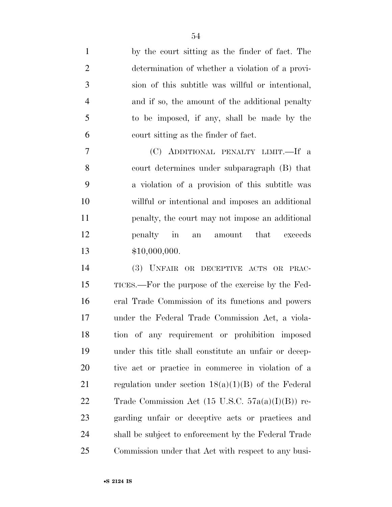by the court sitting as the finder of fact. The determination of whether a violation of a provi- sion of this subtitle was willful or intentional, and if so, the amount of the additional penalty to be imposed, if any, shall be made by the court sitting as the finder of fact.

 (C) ADDITIONAL PENALTY LIMIT.—If a court determines under subparagraph (B) that a violation of a provision of this subtitle was willful or intentional and imposes an additional penalty, the court may not impose an additional penalty in an amount that exceeds \$10,000,000.

 (3) UNFAIR OR DECEPTIVE ACTS OR PRAC- TICES.—For the purpose of the exercise by the Fed- eral Trade Commission of its functions and powers under the Federal Trade Commission Act, a viola- tion of any requirement or prohibition imposed under this title shall constitute an unfair or decep- tive act or practice in commerce in violation of a 21 regulation under section  $18(a)(1)(B)$  of the Federal 22 Trade Commission Act  $(15 \text{ U.S.C. } 57a(a)(I)(B))$  re- garding unfair or deceptive acts or practices and shall be subject to enforcement by the Federal Trade Commission under that Act with respect to any busi-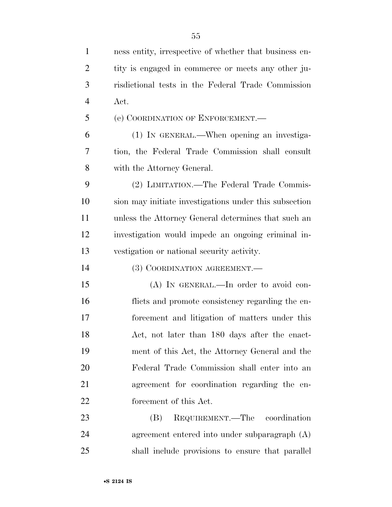| $\mathbf{1}$   | ness entity, irrespective of whether that business en- |
|----------------|--------------------------------------------------------|
| $\overline{2}$ | tity is engaged in commerce or meets any other ju-     |
| 3              | risdictional tests in the Federal Trade Commission     |
| $\overline{4}$ | Act.                                                   |
| 5              | (e) COORDINATION OF ENFORCEMENT.                       |
| 6              | (1) IN GENERAL.—When opening an investiga-             |
| 7              | tion, the Federal Trade Commission shall consult       |
| 8              | with the Attorney General.                             |
| 9              | (2) LIMITATION.—The Federal Trade Commis-              |
| 10             | sion may initiate investigations under this subsection |
| 11             | unless the Attorney General determines that such an    |
| 12             | investigation would impede an ongoing criminal in-     |
| 13             | vestigation or national security activity.             |
| 14             | (3) COORDINATION AGREEMENT.                            |
| 15             | $(A)$ In GENERAL.—In order to avoid con-               |
| 16             | flicts and promote consistency regarding the en-       |
| 17             | forcement and litigation of matters under this         |
| 18             | Act, not later than 180 days after the enact-          |
| 19             | ment of this Act, the Attorney General and the         |
| 20             | Federal Trade Commission shall enter into an           |
| 21             | agreement for coordination regarding the en-           |
| 22             | forcement of this Act.                                 |
| 23             | REQUIREMENT.—The coordination<br>(B)                   |
| 24             | agreement entered into under subparagraph (A)          |
| 25             | shall include provisions to ensure that parallel       |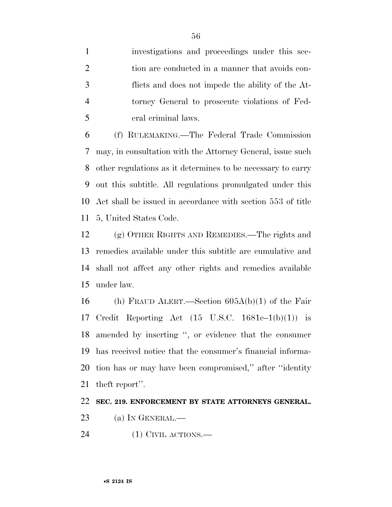investigations and proceedings under this sec-2 tion are conducted in a manner that avoids con- flicts and does not impede the ability of the At- torney General to prosecute violations of Fed-eral criminal laws.

 (f) RULEMAKING.—The Federal Trade Commission may, in consultation with the Attorney General, issue such other regulations as it determines to be necessary to carry out this subtitle. All regulations promulgated under this Act shall be issued in accordance with section 553 of title 5, United States Code.

 (g) OTHER RIGHTS AND REMEDIES.—The rights and remedies available under this subtitle are cumulative and shall not affect any other rights and remedies available under law.

 (h) FRAUD ALERT.—Section 605A(b)(1) of the Fair Credit Reporting Act (15 U.S.C. 1681c–1(b)(1)) is amended by inserting '', or evidence that the consumer has received notice that the consumer's financial informa- tion has or may have been compromised,'' after ''identity theft report''.

### **SEC. 219. ENFORCEMENT BY STATE ATTORNEYS GENERAL.**

- 23 (a) IN GENERAL.—
- (1) CIVIL ACTIONS.—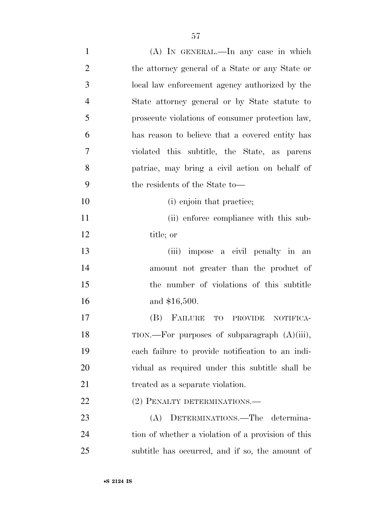| $\mathbf{1}$   | (A) In GENERAL.—In any case in which               |
|----------------|----------------------------------------------------|
| $\overline{2}$ | the attorney general of a State or any State or    |
| 3              | local law enforcement agency authorized by the     |
| $\overline{4}$ | State attorney general or by State statute to      |
| 5              | prosecute violations of consumer protection law,   |
| 6              | has reason to believe that a covered entity has    |
| 7              | violated this subtitle, the State, as parents      |
| 8              | patriae, may bring a civil action on behalf of     |
| 9              | the residents of the State to-                     |
| 10             | (i) enjoin that practice;                          |
| 11             | (ii) enforce compliance with this sub-             |
| 12             | title; or                                          |
| 13             | (iii) impose a civil penalty in an                 |
| 14             | amount not greater than the product of             |
| 15             | the number of violations of this subtitle          |
| 16             | and \$16,500.                                      |
| 17             | (B) FAILURE<br>TO PROVIDE<br>NOTIFICA-             |
| 18             | TION.—For purposes of subparagraph (A)(iii),       |
| 19             | each failure to provide notification to an indi-   |
| 20             | vidual as required under this subtitle shall be    |
| 21             | treated as a separate violation.                   |
| 22             | (2) PENALTY DETERMINATIONS.—                       |
| 23             | DETERMINATIONS.—The determina-<br>(A)              |
| 24             | tion of whether a violation of a provision of this |
| 25             | subtitle has occurred, and if so, the amount of    |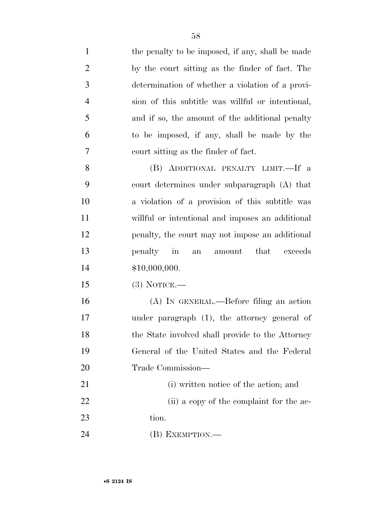| $\mathbf{1}$   | the penalty to be imposed, if any, shall be made      |
|----------------|-------------------------------------------------------|
| $\overline{2}$ | by the court sitting as the finder of fact. The       |
| 3              | determination of whether a violation of a provi-      |
| $\overline{4}$ | sion of this subtitle was willful or intentional,     |
| 5              | and if so, the amount of the additional penalty       |
| 6              | to be imposed, if any, shall be made by the           |
| 7              | court sitting as the finder of fact.                  |
| 8              | (B) ADDITIONAL PENALTY LIMIT.—If a                    |
| 9              | court determines under subparagraph (A) that          |
| 10             | a violation of a provision of this subtitle was       |
| 11             | willful or intentional and imposes an additional      |
| 12             | penalty, the court may not impose an additional       |
| 13             | penalty in<br>that<br>exceeds<br>amount<br>${\rm an}$ |
| 14             | \$10,000,000.                                         |
| 15             | $(3)$ NOTICE.—                                        |
| 16             | (A) IN GENERAL.—Before filing an action               |
| 17             | under paragraph $(1)$ , the attorney general of       |
| 18             | the State involved shall provide to the Attorney      |
| 19             | General of the United States and the Federal          |
| 20             | Trade Commission—                                     |
| 21             | (i) written notice of the action; and                 |
| 22             | (ii) a copy of the complaint for the ac-              |
| 23             | tion.                                                 |
| 24             | $(B)$ EXEMPTION.—                                     |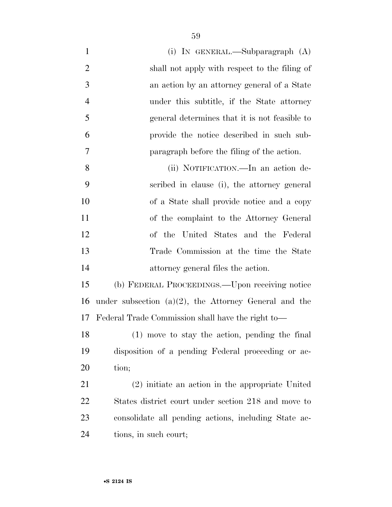| $\mathbf{1}$   | (i) IN GENERAL.—Subparagraph $(A)$                       |
|----------------|----------------------------------------------------------|
| $\overline{2}$ | shall not apply with respect to the filing of            |
| 3              | an action by an attorney general of a State              |
| $\overline{4}$ | under this subtitle, if the State attorney               |
| 5              | general determines that it is not feasible to            |
| 6              | provide the notice described in such sub-                |
| 7              | paragraph before the filing of the action.               |
| 8              | (ii) NOTIFICATION.—In an action de-                      |
| 9              | scribed in clause (i), the attorney general              |
| 10             | of a State shall provide notice and a copy               |
| 11             | of the complaint to the Attorney General                 |
| 12             | of the United States and the Federal                     |
| 13             | Trade Commission at the time the State                   |
| 14             | attorney general files the action.                       |
| 15             | (b) FEDERAL PROCEEDINGS.—Upon receiving notice           |
| 16             | under subsection $(a)(2)$ , the Attorney General and the |
| 17             | Federal Trade Commission shall have the right to-        |
| 18             | $(1)$ move to stay the action, pending the final         |
| 19             | disposition of a pending Federal proceeding or ac-       |
| 20             | tion;                                                    |
| 21             | (2) initiate an action in the appropriate United         |
| 22             | States district court under section 218 and move to      |
| 23             | consolidate all pending actions, including State ac-     |
| 24             | tions, in such court;                                    |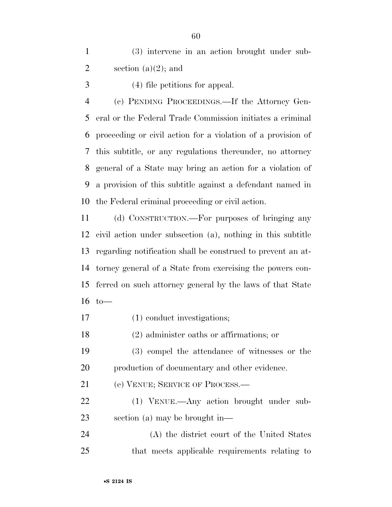(3) intervene in an action brought under sub-2 section (a) $(2)$ ; and

(4) file petitions for appeal.

 (c) PENDING PROCEEDINGS.—If the Attorney Gen- eral or the Federal Trade Commission initiates a criminal proceeding or civil action for a violation of a provision of this subtitle, or any regulations thereunder, no attorney general of a State may bring an action for a violation of a provision of this subtitle against a defendant named in the Federal criminal proceeding or civil action.

 (d) CONSTRUCTION.—For purposes of bringing any civil action under subsection (a), nothing in this subtitle regarding notification shall be construed to prevent an at- torney general of a State from exercising the powers con- ferred on such attorney general by the laws of that State to—

(1) conduct investigations;

(2) administer oaths or affirmations; or

 (3) compel the attendance of witnesses or the production of documentary and other evidence.

(e) VENUE; SERVICE OF PROCESS.—

 (1) VENUE.—Any action brought under sub-section (a) may be brought in—

 (A) the district court of the United States that meets applicable requirements relating to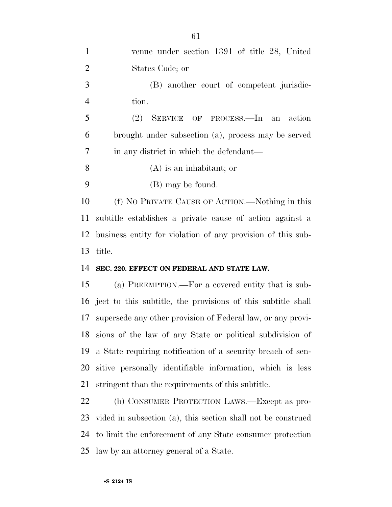| $\mathbf{1}$   | venue under section 1391 of title 28, United                    |
|----------------|-----------------------------------------------------------------|
| $\overline{2}$ | States Code; or                                                 |
| 3              | (B) another court of competent jurisdic-                        |
| $\overline{4}$ | tion.                                                           |
| 5              | (2)<br>SERVICE OF PROCESS.—In an<br>action                      |
| 6              | brought under subsection (a), process may be served             |
| 7              | in any district in which the defendant—                         |
| 8              | $(A)$ is an inhabitant; or                                      |
| 9              | (B) may be found.                                               |
| 10             | (f) NO PRIVATE CAUSE OF ACTION.—Nothing in this                 |
| 11             | subtitle establishes a private cause of action against a        |
| 12             | business entity for violation of any provision of this sub-     |
|                |                                                                 |
| 13             | title.                                                          |
| 14             | SEC. 220. EFFECT ON FEDERAL AND STATE LAW.                      |
| 15             | (a) PREEMPTION.—For a covered entity that is sub-               |
|                | 16 ject to this subtitle, the provisions of this subtitle shall |
| 17             | supersede any other provision of Federal law, or any provi-     |
|                | 18 sions of the law of any State or political subdivision of    |
| 19             | a State requiring notification of a security breach of sen-     |
| 20             | sitive personally identifiable information, which is less       |
| 21             | stringent than the requirements of this subtitle.               |
| <u>22</u>      | (b) CONSUMER PROTECTION LAWS.—Except as pro-                    |
| 23             | vided in subsection (a), this section shall not be construed    |
| 24             | to limit the enforcement of any State consumer protection       |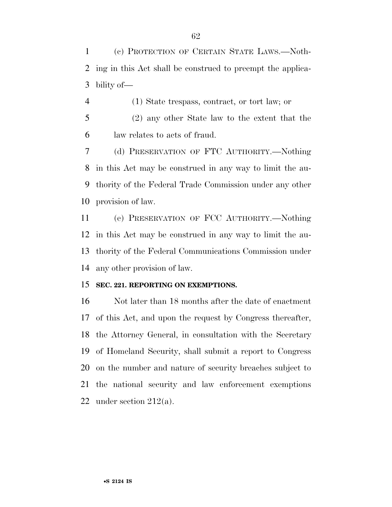(c) PROTECTION OF CERTAIN STATE LAWS.—Noth- ing in this Act shall be construed to preempt the applica-bility of—

- (1) State trespass, contract, or tort law; or
- (2) any other State law to the extent that the law relates to acts of fraud.

 (d) PRESERVATION OF FTC AUTHORITY.—Nothing in this Act may be construed in any way to limit the au- thority of the Federal Trade Commission under any other provision of law.

 (e) PRESERVATION OF FCC AUTHORITY.—Nothing in this Act may be construed in any way to limit the au- thority of the Federal Communications Commission under any other provision of law.

### **SEC. 221. REPORTING ON EXEMPTIONS.**

 Not later than 18 months after the date of enactment of this Act, and upon the request by Congress thereafter, the Attorney General, in consultation with the Secretary of Homeland Security, shall submit a report to Congress on the number and nature of security breaches subject to the national security and law enforcement exemptions 22 under section  $212(a)$ .